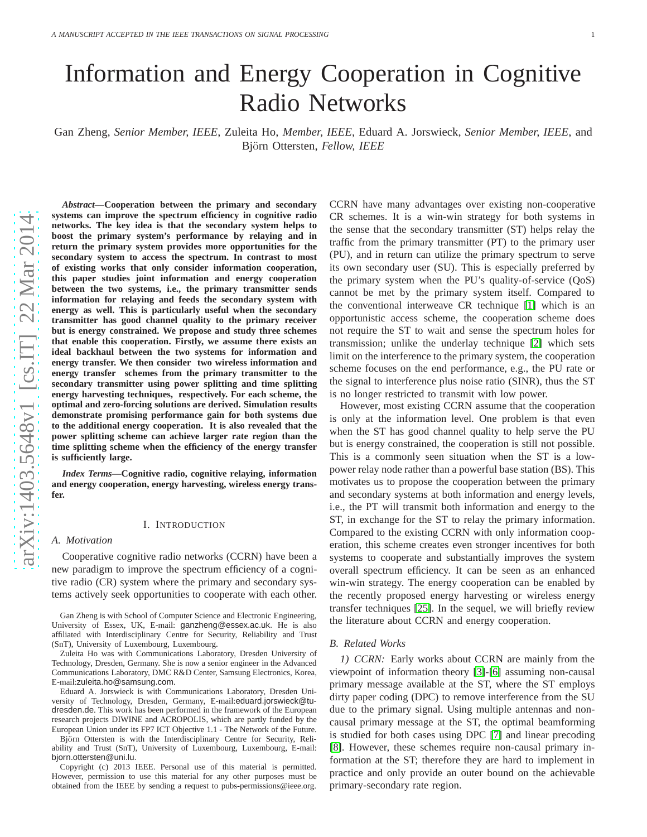# Information and Energy Cooperation in Cognitive Radio Networks

Gan Zheng, *Senior Member, IEEE*, Zuleita Ho, *Member, IEEE*, Eduard A. Jorswieck, *Senior Member, IEEE*, and Björn Ottersten, **Fellow**, **IEEE** 

*Abstract***—Cooperation between the primary and secondary systems can improve the spectrum efficiency in cognitive radio networks. The key idea is that the secondary system helps to boost the primary system's performance by relaying and in return the primary system provides more opportunities for the secondary system to access the spectrum. In contrast to most of existing works that only consider information cooperation, this paper studies joint information and energy cooperatio n between the two systems, i.e., the primary transmitter send s information for relaying and feeds the secondary system wit h energy as well. This is particularly useful when the secondary transmitter has good channel quality to the primary receive r but is energy constrained. We propose and study three scheme s that enable this cooperation. Firstly, we assume there exists an ideal backhaul between the two systems for information and energy transfer. We then consider two wireless information and energy transfer schemes from the primary transmitter to the secondary transmitter using power splitting and time splitting energy harvesting techniques, respectively. For each scheme, the optimal and zero-forcing solutions are derived. Simulation results demonstrate promising performance gain for both systems du e to the additional energy cooperation. It is also revealed that the power splitting scheme can achieve larger rate region than the time splitting scheme when the efficiency of the energy transfer is sufficiently large.**

*Index Terms***—Cognitive radio, cognitive relaying, information and energy cooperation, energy harvesting, wireless energy transfer.**

#### I. INTRODUCTION

#### *A. Motivation*

Cooperative cognitive radio networks (CCRN) have been a new paradigm to improve the spectrum efficiency of a cognitive radio (CR) system where the primary and secondary systems actively seek opportunities to cooperate with each other.

Eduard A. Jorswieck is with Communications Laboratory, Dresden University of Technology, Dresden, Germany, E-mail:eduard.jorswieck@tudresden.de. This work has been performed in the framework of the European research projects DIWINE and ACROPOLIS, which are partly funded by the European Union under its FP7 ICT Objective 1.1 - The Network of the Future.

Björn Ottersten is with the Interdisciplinary Centre for Security, Reliability and Trust (SnT), University of Luxembourg, Luxembourg, E-mail: bjorn.ottersten@uni.lu.

Copyright (c) 2013 IEEE. Personal use of this material is permitted. However, permission to use this material for any other purposes must be obtained from the IEEE by sending a request to pubs-permissions@ieee.org.

CCRN have many advantages over existing non-cooperative CR schemes. It is a win-win strategy for both systems in the sense that the secondary transmitter (ST) helps relay th e traffic from the primary transmitter (PT) to the primary user (PU), and in return can utilize the primary spectrum to serve its own secondary user (SU). This is especially preferred by the primary system when the PU's quality-of-service (QoS) cannot be met by the primary system itself. Compared to the conventional interweave CR technique [\[1\]](#page-11-0) which is an opportunistic access scheme, the cooperation scheme does not require the ST to wait and sense the spectrum holes for transmission; unlike the underlay technique [\[2\]](#page-11-1) which sets limit on the interference to the primary system, the cooperation scheme focuses on the end performance, e.g., the PU rate or the signal to interference plus noise ratio (SINR), thus the ST is no longer restricted to transmit with low power.

However, most existing CCRN assume that the cooperation is only at the information level. One problem is that even when the ST has good channel quality to help serve the PU but is energy constrained, the cooperation is still not possible. This is a commonly seen situation when the ST is a lowpower relay node rather than a powerful base station (BS). This motivates us to propose the cooperation between the primary and secondary systems at both information and energy levels , i.e., the PT will transmit both information and energy to the ST, in exchange for the ST to relay the primary information. Compared to the existing CCRN with only information cooperation, this scheme creates even stronger incentives for both systems to cooperate and substantially improves the system overall spectrum efficiency. It can be seen as an enhanced win-win strategy. The energy cooperation can be enabled by the recently proposed energy harvesting or wireless energy transfer techniques [\[25\]](#page-12-0). In the sequel, we will briefly review the literature about CCRN and energy cooperation.

#### *B. Related Works*

*1) CCRN:* Early works about CCRN are mainly from the viewpoint of information theory [\[3\]](#page-11-2)-[\[6\]](#page-11-3) assuming non-causal primary message available at the ST, where the ST employs dirty paper coding (DPC) to remove interference from the SU due to the primary signal. Using multiple antennas and noncausal primary message at the ST, the optimal beamforming is studied for both cases using DPC [\[7\]](#page-11-4) and linear precoding [\[8\]](#page-11-5). However, these schemes require non-causal primary information at the ST; therefore they are hard to implement in practice and only provide an outer bound on the achievable primary-secondary rate region.

Gan Zheng is with School of Computer Science and Electronic Engineering, University of Essex, UK, E-mail: ganzheng@essex.ac.uk. He is also affiliated with Interdisciplinary Centre for Security, Reliability and Trust (SnT), University of Luxembourg, Luxembourg.

Zuleita Ho was with Communications Laboratory, Dresden University of Technology, Dresden, Germany. She is now a senior engineer in the Advanced Communications Laboratory, DMC R&D Center, Samsung Electronics, Korea, E-mail:zuleita.ho@samsung.com .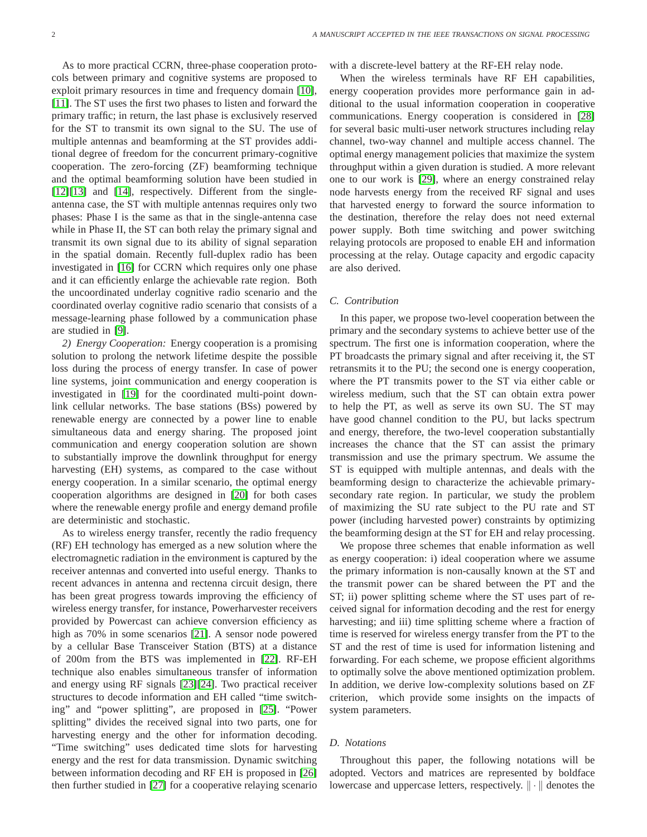As to more practical CCRN, three-phase cooperation protocols between primary and cognitive systems are proposed to exploit primary resources in time and frequency domain [\[10\]](#page-11-6), [\[11\]](#page-11-7). The ST uses the first two phases to listen and forward the primary traffic; in return, the last phase is exclusively reserved for the ST to transmit its own signal to the SU. The use of multiple antennas and beamforming at the ST provides additional degree of freedom for the concurrent primary-cognitive cooperation. The zero-forcing (ZF) beamforming technique and the optimal beamforming solution have been studied in [\[12\]](#page-11-8)[\[13\]](#page-12-1) and [\[14\]](#page-12-2), respectively. Different from the singleantenna case, the ST with multiple antennas requires only two phases: Phase I is the same as that in the single-antenna case while in Phase II, the ST can both relay the primary signal and transmit its own signal due to its ability of signal separation in the spatial domain. Recently full-duplex radio has been investigated in [\[16\]](#page-12-3) for CCRN which requires only one phase and it can efficiently enlarge the achievable rate region. Both the uncoordinated underlay cognitive radio scenario and the coordinated overlay cognitive radio scenario that consists of a message-learning phase followed by a communication phase are studied in [\[9\]](#page-11-9).

*2) Energy Cooperation:* Energy cooperation is a promising solution to prolong the network lifetime despite the possible loss during the process of energy transfer. In case of power line systems, joint communication and energy cooperation is investigated in [\[19\]](#page-12-4) for the coordinated multi-point downlink cellular networks. The base stations (BSs) powered by renewable energy are connected by a power line to enable simultaneous data and energy sharing. The proposed joint communication and energy cooperation solution are shown to substantially improve the downlink throughput for energy harvesting (EH) systems, as compared to the case without energy cooperation. In a similar scenario, the optimal energy cooperation algorithms are designed in [\[20\]](#page-12-5) for both cases where the renewable energy profile and energy demand profile are deterministic and stochastic.

As to wireless energy transfer, recently the radio frequency (RF) EH technology has emerged as a new solution where the electromagnetic radiation in the environment is captured by the receiver antennas and converted into useful energy. Thanks to recent advances in antenna and rectenna circuit design, there has been great progress towards improving the efficiency of wireless energy transfer, for instance, Powerharvester receivers provided by Powercast can achieve conversion efficiency as high as 70% in some scenarios [\[21\]](#page-12-6). A sensor node powered by a cellular Base Transceiver Station (BTS) at a distance of 200m from the BTS was implemented in [\[22\]](#page-12-7). RF-EH technique also enables simultaneous transfer of information and energy using RF signals [\[23\]](#page-12-8)[\[24\]](#page-12-9). Two practical receiver structures to decode information and EH called "time switching" and "power splitting", are proposed in [\[25\]](#page-12-0). "Power splitting" divides the received signal into two parts, one for harvesting energy and the other for information decoding. "Time switching" uses dedicated time slots for harvesting energy and the rest for data transmission. Dynamic switching between information decoding and RF EH is proposed in [\[26\]](#page-12-10) then further studied in [\[27\]](#page-12-11) for a cooperative relaying scenario

with a discrete-level battery at the RF-EH relay node.

When the wireless terminals have RF EH capabilities, energy cooperation provides more performance gain in additional to the usual information cooperation in cooperative communications. Energy cooperation is considered in [\[28\]](#page-12-12) for several basic multi-user network structures including relay channel, two-way channel and multiple access channel. The optimal energy management policies that maximize the system throughput within a given duration is studied. A more relevant one to our work is [\[29\]](#page-12-13), where an energy constrained relay node harvests energy from the received RF signal and uses that harvested energy to forward the source information to the destination, therefore the relay does not need external power supply. Both time switching and power switching relaying protocols are proposed to enable EH and information processing at the relay. Outage capacity and ergodic capacity are also derived.

# *C. Contribution*

In this paper, we propose two-level cooperation between the primary and the secondary systems to achieve better use of the spectrum. The first one is information cooperation, where the PT broadcasts the primary signal and after receiving it, the ST retransmits it to the PU; the second one is energy cooperation, where the PT transmits power to the ST via either cable or wireless medium, such that the ST can obtain extra power to help the PT, as well as serve its own SU. The ST may have good channel condition to the PU, but lacks spectrum and energy, therefore, the two-level cooperation substantially increases the chance that the ST can assist the primary transmission and use the primary spectrum. We assume the ST is equipped with multiple antennas, and deals with the beamforming design to characterize the achievable primarysecondary rate region. In particular, we study the problem of maximizing the SU rate subject to the PU rate and ST power (including harvested power) constraints by optimizing the beamforming design at the ST for EH and relay processing.

We propose three schemes that enable information as well as energy cooperation: i) ideal cooperation where we assume the primary information is non-causally known at the ST and the transmit power can be shared between the PT and the ST; ii) power splitting scheme where the ST uses part of received signal for information decoding and the rest for energy harvesting; and iii) time splitting scheme where a fraction of time is reserved for wireless energy transfer from the PT to the ST and the rest of time is used for information listening and forwarding. For each scheme, we propose efficient algorithms to optimally solve the above mentioned optimization problem. In addition, we derive low-complexity solutions based on ZF criterion, which provide some insights on the impacts of system parameters.

# *D. Notations*

Throughout this paper, the following notations will be adopted. Vectors and matrices are represented by boldface lowercase and uppercase letters, respectively.  $\|\cdot\|$  denotes the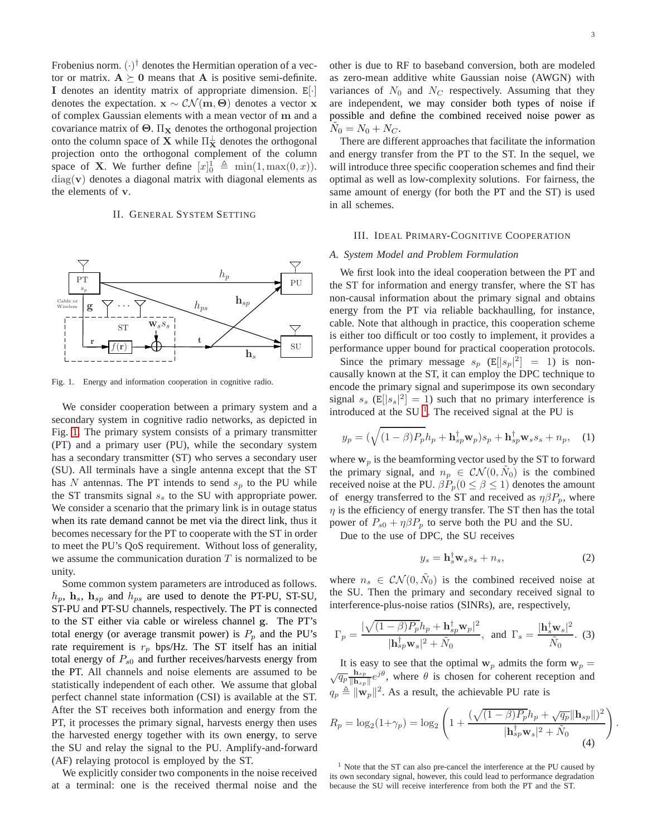Frobenius norm.  $(\cdot)^\dagger$  denotes the Hermitian operation of a vector or matrix.  $A \succeq 0$  means that A is positive semi-definite. I denotes an identity matrix of appropriate dimension.  $E[\cdot]$ denotes the expectation.  $x \sim \mathcal{CN}(m, \Theta)$  denotes a vector x of complex Gaussian elements with a mean vector of m and a covariance matrix of  $\Theta$ .  $\Pi_X$  denotes the orthogonal projection onto the column space of **X** while  $\Pi_{\mathbf{X}}^{\perp}$  denotes the orthogonal projection onto the orthogonal complement of the column space of **X**. We further define  $[x]_0^1 \triangleq \min(1, \max(0, x)).$  $diag(v)$  denotes a diagonal matrix with diagonal elements as the elements of v.

#### II. GENERAL SYSTEM SETTING



<span id="page-2-0"></span>Fig. 1. Energy and information cooperation in cognitive radio.

We consider cooperation between a primary system and a secondary system in cognitive radio networks, as depicted in Fig. [1.](#page-2-0) The primary system consists of a primary transmitter (PT) and a primary user (PU), while the secondary system has a secondary transmitter (ST) who serves a secondary user (SU). All terminals have a single antenna except that the ST has N antennas. The PT intends to send  $s_p$  to the PU while the ST transmits signal  $s<sub>s</sub>$  to the SU with appropriate power. We consider a scenario that the primary link is in outage status when its rate demand cannot be met via the direct link, thus it becomes necessary for the PT to cooperate with the ST in order to meet the PU's QoS requirement. Without loss of generality, we assume the communication duration  $T$  is normalized to be unity.

Some common system parameters are introduced as follows.  $h_p$ ,  $\mathbf{h}_s$ ,  $\mathbf{h}_{sp}$  and  $h_{ps}$  are used to denote the PT-PU, ST-SU, ST-PU and PT-SU channels, respectively. The PT is connected to the ST either via cable or wireless channel g. The PT's total energy (or average transmit power) is  $P_p$  and the PU's rate requirement is  $r_p$  bps/Hz. The ST itself has an initial total energy of  $P_{s0}$  and further receives/harvests energy from the PT. All channels and noise elements are assumed to be statistically independent of each other. We assume that global perfect channel state information (CSI) is available at the ST. After the ST receives both information and energy from the PT, it processes the primary signal, harvests energy then uses the harvested energy together with its own energy, to serve the SU and relay the signal to the PU. Amplify-and-forward (AF) relaying protocol is employed by the ST.

We explicitly consider two components in the noise received at a terminal: one is the received thermal noise and the

other is due to RF to baseband conversion, both are modeled as zero-mean additive white Gaussian noise (AWGN) with variances of  $N_0$  and  $N_C$  respectively. Assuming that they are independent, we may consider both types of noise if possible and define the combined received noise power as  $\tilde{N}_0 = N_0 + N_C.$ 

There are different approaches that facilitate the information and energy transfer from the PT to the ST. In the sequel, we will introduce three specific cooperation schemes and find their optimal as well as low-complexity solutions. For fairness, the same amount of energy (for both the PT and the ST) is used in all schemes.

#### III. IDEAL PRIMARY-COGNITIVE COOPERATION

## *A. System Model and Problem Formulation*

We first look into the ideal cooperation between the PT and the ST for information and energy transfer, where the ST has non-causal information about the primary signal and obtains energy from the PT via reliable backhaulling, for instance, cable. Note that although in practice, this cooperation scheme is either too difficult or too costly to implement, it provides a performance upper bound for practical cooperation protocols.

Since the primary message  $s_p$  (E[ $|s_p|^2$ ] = 1) is noncausally known at the ST, it can employ the DPC technique to encode the primary signal and superimpose its own secondary signal  $s_s$  (E[| $s_s$ |<sup>2</sup>] = 1) such that no primary interference is introduced at the SU  $<sup>1</sup>$  $<sup>1</sup>$  $<sup>1</sup>$ . The received signal at the PU is</sup>

$$
y_p = (\sqrt{(1-\beta)P_p}h_p + \mathbf{h}_{sp}^{\dagger}\mathbf{w}_p)s_p + \mathbf{h}_{sp}^{\dagger}\mathbf{w}_s s_s + n_p, \quad (1)
$$

where  $w_p$  is the beamforming vector used by the ST to forward the primary signal, and  $n_p \in \mathcal{CN}(0, \tilde{N}_0)$  is the combined received noise at the PU.  $\beta P_p(0 \le \beta \le 1)$  denotes the amount of energy transferred to the ST and received as  $\eta \beta P_p$ , where  $\eta$  is the efficiency of energy transfer. The ST then has the total power of  $P_{s0} + \eta \beta P_p$  to serve both the PU and the SU.

Due to the use of DPC, the SU receives

$$
y_s = \mathbf{h}_s^{\dagger} \mathbf{w}_s s_s + n_s,\tag{2}
$$

.

where  $n_s \in \mathcal{CN}(0, \tilde{N}_0)$  is the combined received noise at the SU. Then the primary and secondary received signal to interference-plus-noise ratios (SINRs), are, respectively,

$$
\Gamma_p = \frac{|\sqrt{(1-\beta)P_p h_p + \mathbf{h}_{sp}^{\dagger} \mathbf{w}_p|^2}}{|\mathbf{h}_{sp}^{\dagger} \mathbf{w}_s|^2 + \tilde{N}_0}, \text{ and } \Gamma_s = \frac{|\mathbf{h}_{s}^{\dagger} \mathbf{w}_s|^2}{\tilde{N}_0}. \text{ (3)}
$$

It is easy to see that the optimal  $w_p$  admits the form  $w_p =$  $\sqrt{q_p}\frac{\mathbf{h}_{sp}}{\|\mathbf{h}_{sp}}$  $\frac{\mathbf{h}_{sp}}{\|\mathbf{h}_{sp}\|}e^{j\theta}$ , where  $\theta$  is chosen for coherent reception and  $q_p \triangleq ||\mathbf{w}_p||^2$ . As a result, the achievable PU rate is

$$
R_p = \log_2(1+\gamma_p) = \log_2\left(1 + \frac{(\sqrt{(1-\beta)P_p}h_p + \sqrt{q_p}||\mathbf{h}_{sp}||)^2}{|\mathbf{h}_{sp}^{\dagger}\mathbf{w}_{s}|^2 + \tilde{N}_0}\right)
$$
(4)

<span id="page-2-1"></span> $<sup>1</sup>$  Note that the ST can also pre-cancel the interference at the PU caused by</sup> its own secondary signal, however, this could lead to performance degradation because the SU will receive interference from both the PT and the ST.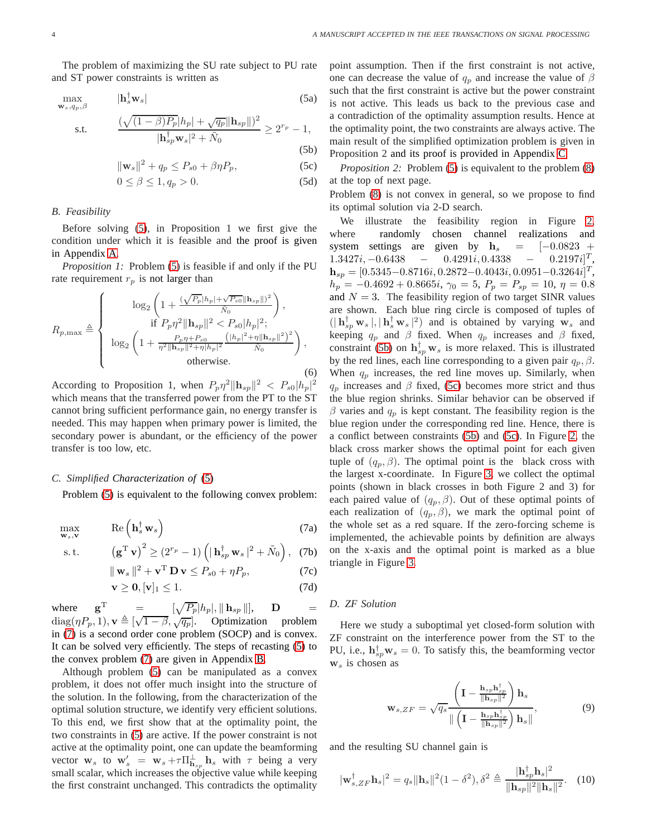The problem of maximizing the SU rate subject to PU rate and ST power constraints is written as

$$
\max_{\mathbf{w}_s, q_p, \beta} \qquad |\mathbf{h}_s^{\dagger} \mathbf{w}_s| \tag{5a}
$$

s.t. 
$$
\frac{(\sqrt{(1-\beta)P_p}|h_p| + \sqrt{q_p}||\mathbf{h}_{sp}||)^2}{|\mathbf{h}_{sp}^{\dagger}\mathbf{w}_{s}|^2 + \tilde{N}_0} \ge 2^{r_p} - 1,
$$
\n(5b)

$$
\|\mathbf{w}_s\|^2 + q_p \le P_{s0} + \beta \eta P_p,\tag{5c}
$$

<span id="page-3-5"></span>
$$
0 \le \beta \le 1, q_p > 0. \tag{5d}
$$

# *B. Feasibility*

Before solving [\(5\)](#page-3-0), in Proposition 1 we first give the condition under which it is feasible and the proof is given in Appendix [A.](#page-10-0)

*Proposition 1:* Problem [\(5\)](#page-3-0) is feasible if and only if the PU rate requirement  $r_p$  is not larger than

<span id="page-3-6"></span>
$$
R_{p,\max} \triangleq \left\{ \begin{array}{c} \log_2\left(1 + \frac{(\sqrt{P_p}|h_p| + \sqrt{P_{s0}}||\mathbf{h}_{sp}||)^2}{\tilde{N}_0}\right), \\ \text{if } P_p\eta^2 ||\mathbf{h}_{sp}||^2 < P_{s0}|h_p|^2; \\ \log_2\left(1 + \frac{P_p\eta + P_{s0}}{\eta^2 ||\mathbf{h}_{sp}||^2 + \eta ||h_p|^2} \frac{(|h_p|^2 + \eta ||\mathbf{h}_{sp}||^2)^2}{\tilde{N}_0}\right), \\ \text{otherwise.} \end{array} \right.
$$

According to Proposition 1, when  $P_p \eta^2 \|\mathbf{h}_{sp}\|^2 \le P_{s0}|h_p|^2$ which means that the transferred power from the PT to the ST cannot bring sufficient performance gain, no energy transfer is needed. This may happen when primary power is limited, the secondary power is abundant, or the efficiency of the power transfer is too low, etc.

#### *C. Simplified Characterization of* [\(5\)](#page-3-0)

<span id="page-3-1"></span>Problem [\(5\)](#page-3-0) is equivalent to the following convex problem:

$$
\max_{\mathbf{w}_s, \mathbf{v}} \qquad \text{Re}\left(\mathbf{h}_s^{\dagger} \mathbf{w}_s\right) \tag{7a}
$$

$$
\text{s.t.} \qquad \left(\mathbf{g}^{\mathrm{T}}\,\mathbf{v}\right)^2 \geq (2^{r_p} - 1)\left(\|\mathbf{h}_{sp}^{\dagger}\,\mathbf{w}_{s}\|^2 + \tilde{N}_0\right), \tag{7b}
$$

$$
\|\mathbf{w}_s\|^2 + \mathbf{v}^{\mathrm{T}} \mathbf{D} \mathbf{v} \le P_{s0} + \eta P_p, \tag{7c}
$$

$$
\mathbf{v} \ge \mathbf{0}, [\mathbf{v}]_1 \le 1. \tag{7d}
$$

where  $\mathbf{g}^{\mathrm{T}}$  $\begin{array}{ccc} \Gamma & = & [\sqrt{P_p} |h_p| , \| \, \mathbf{h}_{sp} \, \|, & \mathbf{D} & = \end{array}$  $diag(\eta P_p, 1), \mathbf{v} \triangleq [\sqrt{1-\beta}, \sqrt{\phi_p}]$ . Optimization problem in [\(7\)](#page-3-1) is a second order cone problem (SOCP) and is convex. It can be solved very efficiently. The steps of recasting [\(5\)](#page-3-0) to the convex problem [\(7\)](#page-3-1) are given in Appendix [B.](#page-10-1)

Although problem [\(5\)](#page-3-0) can be manipulated as a convex problem, it does not offer much insight into the structure of the solution. In the following, from the characterization of the optimal solution structure, we identify very efficient solutions. To this end, we first show that at the optimality point, the two constraints in [\(5\)](#page-3-0) are active. If the power constraint is not active at the optimality point, one can update the beamforming vector  $\mathbf{w}_s$  to  $\mathbf{w}'_s = \mathbf{w}_s + \tau \prod_{\mathbf{h}_{sp}}^{\perp} \mathbf{h}_s$  with  $\tau$  being a very small scalar, which increases the objective value while keeping the first constraint unchanged. This contradicts the optimality <span id="page-3-0"></span>point assumption. Then if the first constraint is not active, one can decrease the value of  $q_p$  and increase the value of  $\beta$ such that the first constraint is active but the power constraint is not active. This leads us back to the previous case and a contradiction of the optimality assumption results. Hence at the optimality point, the two constraints are always active. The main result of the simplified optimization problem is given in Proposition 2 and its proof is provided in Appendix [C.](#page-10-2)

<span id="page-3-7"></span><span id="page-3-3"></span><span id="page-3-2"></span>*Proposition 2:* Problem [\(5\)](#page-3-0) is equivalent to the problem [\(8\)](#page-4-0) at the top of next page.

Problem [\(8\)](#page-4-0) is not convex in general, so we propose to find its optimal solution via 2-D search.

We illustrate the feasibility region in Figure [2,](#page-4-1) where randomly chosen channel realizations and system settings are given by  $h_s = [-0.0823 + 1.3427i, -0.6438 - 0.4291i, 0.4338 - 0.2197i]^T$ .  $0.4291i, 0.4338$  $T,$  $\mathbf{h}_{sp} = [0.5345 - 0.8716i, 0.2872 - 0.4043i, 0.0951 - 0.3264i]^T,$  $h_p = -0.4692 + 0.8665i$ ,  $\gamma_0 = 5$ ,  $P_p = P_{sp} = 10$ ,  $\eta = 0.8$ and  $N = 3$ . The feasibility region of two target SINR values are shown. Each blue ring circle is composed of tuples of  $(|\mathbf{h}_{sp}^{\dagger} \mathbf{w}_{s}|, |\mathbf{h}_{s}^{\dagger} \mathbf{w}_{s}|^{2})$  and is obtained by varying  $\mathbf{w}_{s}$  and keeping  $q_p$  and  $\beta$  fixed. When  $q_p$  increases and  $\beta$  fixed, constraint [\(5b\)](#page-3-2) on  $\mathbf{h}_{sp}^{\dagger} \mathbf{w}_{s}$  is more relaxed. This is illustrated by the red lines, each line corresponding to a given pair  $q_p$ ,  $\beta$ . When  $q_p$  increases, the red line moves up. Similarly, when  $q_p$  increases and  $\beta$  fixed, [\(5c\)](#page-3-3) becomes more strict and thus the blue region shrinks. Similar behavior can be observed if  $\beta$  varies and  $q_p$  is kept constant. The feasibility region is the blue region under the corresponding red line. Hence, there is a conflict between constraints [\(5b\)](#page-3-2) and [\(5c\)](#page-3-3). In Figure [2,](#page-4-1) the black cross marker shows the optimal point for each given tuple of  $(q_p, \beta)$ . The optimal point is the black cross with the largest x-coordinate. In Figure [3,](#page-4-2) we collect the optimal points (shown in black crosses in both Figure 2 and 3) for each paired value of  $(q_p, \beta)$ . Out of these optimal points of each realization of  $(q_p, \beta)$ , we mark the optimal point of the whole set as a red square. If the zero-forcing scheme is implemented, the achievable points by definition are always on the x-axis and the optimal point is marked as a blue triangle in Figure [3.](#page-4-2)

# *D. ZF Solution*

Here we study a suboptimal yet closed-form solution with ZF constraint on the interference power from the ST to the PU, i.e.,  $\mathbf{h}_{sp}^{\dagger} \mathbf{w}_{s} = 0$ . To satisfy this, the beamforming vector  $w_s$  is chosen as

<span id="page-3-4"></span>
$$
\mathbf{w}_{s,ZF} = \sqrt{q_s} \frac{\left(\mathbf{I} - \frac{\mathbf{h}_{sp}\mathbf{h}_{sp}^{\dagger}}{\|\mathbf{h}_{sp}\|^2}\right)\mathbf{h}_s}{\|\left(\mathbf{I} - \frac{\mathbf{h}_{sp}\mathbf{h}_{sp}^{\dagger}}{\|\mathbf{h}_{sp}\|^2}\right)\mathbf{h}_s|},\tag{9}
$$

and the resulting SU channel gain is

$$
|\mathbf{w}_{s,ZF}^{\dagger}\mathbf{h}_{s}|^{2} = q_{s}||\mathbf{h}_{s}||^{2}(1-\delta^{2}), \delta^{2} \triangleq \frac{|\mathbf{h}_{sp}^{\dagger}\mathbf{h}_{s}|^{2}}{||\mathbf{h}_{sp}||^{2}||\mathbf{h}_{s}||^{2}}.
$$
 (10)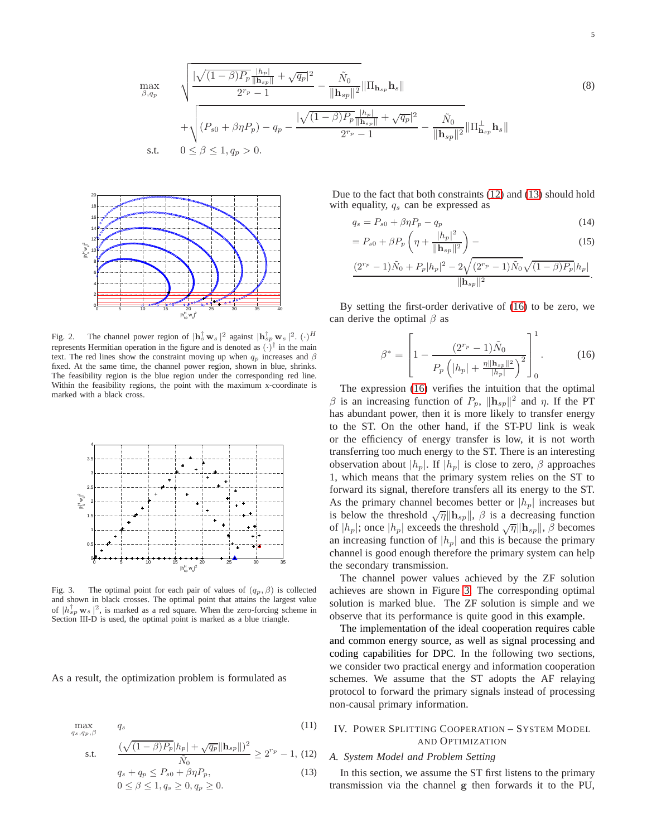<span id="page-4-0"></span>
$$
\max_{\beta, q_p} \qquad \sqrt{\frac{|\sqrt{(1-\beta)P_p} \frac{|h_p|}{\|\mathbf{h}_{sp}\|} + \sqrt{q_p}|^2}{2^{r_p} - 1} - \frac{\tilde{N}_0}{\|\mathbf{h}_{sp}\|^2} \|\Pi_{\mathbf{h}_{sp}} \mathbf{h}_s\|} + \sqrt{(P_{s0} + \beta \eta P_p) - q_p - \frac{|\sqrt{(1-\beta)P_p} \frac{|h_p|}{\|\mathbf{h}_{sp}\|} + \sqrt{q_p}|^2}{2^{r_p} - 1} - \frac{\tilde{N}_0}{\|\mathbf{h}_{sp}\|^2} \|\Pi_{\mathbf{h}_{sp}}^{\perp} \mathbf{h}_s\|} \text{ s.t. } 0 \le \beta \le 1, q_p > 0.
$$
\n
$$
(8)
$$



<span id="page-4-1"></span>Fig. 2. The channel power region of  $|\mathbf{h}_s^{\dagger} \mathbf{w}_s|^2$  against  $|\mathbf{h}_{sp}^{\dagger} \mathbf{w}_s|^2$ .  $(\cdot)^H$ represents Hermitian operation in the figure and is denoted as  $(\cdot)^\dagger$  in the main text. The red lines show the constraint moving up when  $q_p$  increases and  $\beta$ fixed. At the same time, the channel power region, shown in blue, shrinks. The feasibility region is the blue region under the corresponding red line. Within the feasibility regions, the point with the maximum x-coordinate is marked with a black cross.



<span id="page-4-2"></span>Fig. 3. The optimal point for each pair of values of  $(q_p, \beta)$  is collected and shown in black crosses. The optimal point that attains the largest value of  $|h_{sp}^{\dagger} \mathbf{w}_s|^2$ , is marked as a red square. When the zero-forcing scheme in Section III-D is used, the optimal point is marked as a blue triangle.

As a result, the optimization problem is formulated as

<span id="page-4-3"></span>
$$
\max_{q_s, q_p, \beta} \qquad q_s \tag{11}
$$

s.t. 
$$
\frac{(\sqrt{(1-\beta)P_p}|h_p| + \sqrt{q_p}||\mathbf{h}_{sp}||)^2}{\tilde{N}_0} \ge 2^{r_p} - 1, \quad (12)
$$

$$
q_s + q_p \le P_{s0} + \beta \eta P_p,
$$
  
\n
$$
0 \le \beta \le 1, q_s \ge 0, q_p \ge 0.
$$
\n(13)

Due to the fact that both constraints [\(12\)](#page-4-3) and [\(13\)](#page-4-3) should hold with equality,  $q_s$  can be expressed as

<span id="page-4-4"></span>
$$
q_s = P_{s0} + \beta \eta P_p - q_p \tag{14}
$$

$$
= P_{s0} + \beta P_p \left( \eta + \frac{|h_p|^2}{\|\mathbf{h}_{sp}\|^2} \right) - \tag{15}
$$

$$
\frac{(2^{r_p}-1)\tilde{N}_0+P_p|h_p|^2-2\sqrt{(2^{r_p}-1)\tilde{N}_0\sqrt{(1-\beta)P_p|h_p|}}}{\|\mathbf{h}_{sp}\|^2}.
$$

By setting the first-order derivative of [\(16\)](#page-4-4) to be zero, we can derive the optimal  $\beta$  as

<span id="page-4-5"></span>
$$
\beta^* = \left[1 - \frac{(2^{r_p} - 1)\tilde{N}_0}{P_p\left(|h_p| + \frac{\eta ||\mathbf{h}_{sp}||^2}{|h_p|}\right)^2}\right]_0^1.
$$
 (16)

The expression [\(16\)](#page-4-5) verifies the intuition that the optimal β is an increasing function of  $P_p$ ,  $||\mathbf{h}_{sp}||^2$  and η. If the PT has abundant power, then it is more likely to transfer energy to the ST. On the other hand, if the ST-PU link is weak or the efficiency of energy transfer is low, it is not worth transferring too much energy to the ST. There is an interesting observation about  $|h_p|$ . If  $|h_p|$  is close to zero,  $\beta$  approaches 1, which means that the primary system relies on the ST to forward its signal, therefore transfers all its energy to the ST. As the primary channel becomes better or  $|h_p|$  increases but is below the threshold  $\sqrt{\eta} \|\mathbf{h}_{sp}\|$ ,  $\beta$  is a decreasing function of  $|h_p|$ ; once  $|h_p|$  exceeds the threshold  $\sqrt{\eta} \|\mathbf{h}_{sp}\|$ ,  $\beta$  becomes an increasing function of  $|h_p|$  and this is because the primary channel is good enough therefore the primary system can help the secondary transmission.

The channel power values achieved by the ZF solution achieves are shown in Figure [3.](#page-4-2) The corresponding optimal solution is marked blue. The ZF solution is simple and we observe that its performance is quite good in this example.

The implementation of the ideal cooperation requires cable and common energy source, as well as signal processing and coding capabilities for DPC. In the following two sections, we consider two practical energy and information cooperation schemes. We assume that the ST adopts the AF relaying protocol to forward the primary signals instead of processing non-causal primary information.

# IV. POWER SPLITTING COOPERATION – SYSTEM MODEL AND OPTIMIZATION

# *A. System Model and Problem Setting*

In this section, we assume the ST first listens to the primary transmission via the channel g then forwards it to the PU,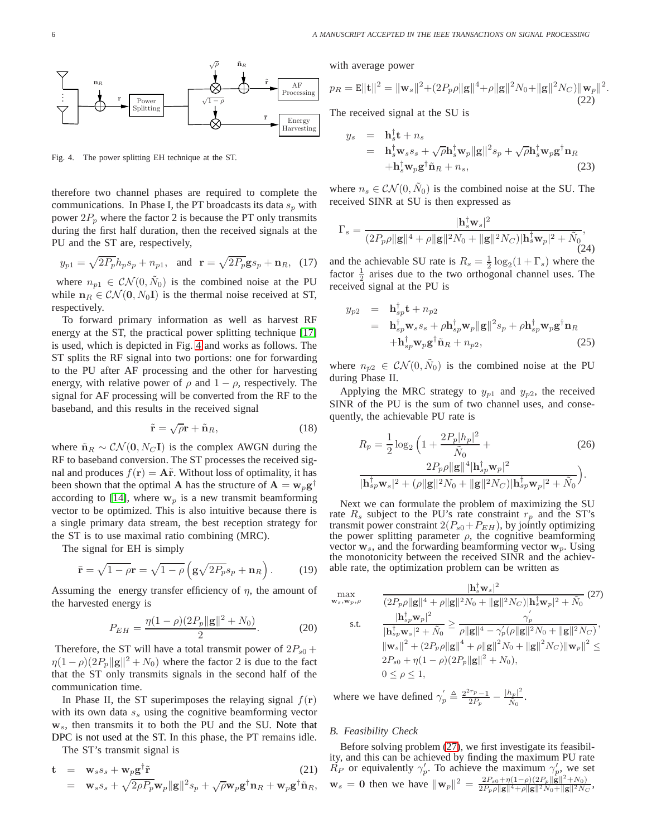

<span id="page-5-0"></span>Fig. 4. The power splitting EH technique at the ST.

therefore two channel phases are required to complete the communications. In Phase I, the PT broadcasts its data  $s_p$  with power  $2P_p$  where the factor 2 is because the PT only transmits during the first half duration, then the received signals at the PU and the ST are, respectively,

$$
y_{p1} = \sqrt{2P_p}h_p s_p + n_{p1}, \text{ and } \mathbf{r} = \sqrt{2P_p} \mathbf{g} s_p + \mathbf{n}_R, (17)
$$

where  $n_{p1} \in \mathcal{CN}(0, \tilde{N}_0)$  is the combined noise at the PU while  $n_R \in \mathcal{CN}(\mathbf{0}, N_0\mathbf{I})$  is the thermal noise received at ST, respectively.

To forward primary information as well as harvest RF energy at the ST, the practical power splitting technique [\[17\]](#page-12-14) is used, which is depicted in Fig. [4](#page-5-0) and works as follows. The ST splits the RF signal into two portions: one for forwarding to the PU after AF processing and the other for harvesting energy, with relative power of  $\rho$  and  $1 - \rho$ , respectively. The signal for AF processing will be converted from the RF to the baseband, and this results in the received signal

$$
\tilde{\mathbf{r}} = \sqrt{\rho} \mathbf{r} + \tilde{\mathbf{n}}_R, \tag{18}
$$

where  $\tilde{\mathbf{n}}_R \sim \mathcal{CN}(\mathbf{0}, N_C \mathbf{I})$  is the complex AWGN during the RF to baseband conversion. The ST processes the received signal and produces  $f(\mathbf{r}) = \mathbf{A}\tilde{\mathbf{r}}$ . Without loss of optimality, it has been shown that the optimal **A** has the structure of  $\mathbf{A} = \mathbf{w}_p \mathbf{g}^{\dagger}$ according to [\[14\]](#page-12-2), where  $w_p$  is a new transmit beamforming vector to be optimized. This is also intuitive because there is a single primary data stream, the best reception strategy for the ST is to use maximal ratio combining (MRC).

The signal for EH is simply

$$
\bar{\mathbf{r}} = \sqrt{1 - \rho} \mathbf{r} = \sqrt{1 - \rho} \left( \mathbf{g} \sqrt{2P_p} s_p + \mathbf{n}_R \right). \tag{19}
$$

Assuming the energy transfer efficiency of  $\eta$ , the amount of the harvested energy is

$$
P_{EH} = \frac{\eta(1-\rho)(2P_p||g||^2 + N_0)}{2}.
$$
 (20)

Therefore, the ST will have a total transmit power of  $2P_{s0}$  +  $\eta(1-\rho)(2P_p||\mathbf{g}||^2 + N_0)$  where the factor 2 is due to the fact that the ST only transmits signals in the second half of the communication time.

In Phase II, the ST superimposes the relaying signal  $f(r)$ with its own data  $s<sub>s</sub>$  using the cognitive beamforming vector  $w_s$ , then transmits it to both the PU and the SU. Note that DPC is not used at the ST. In this phase, the PT remains idle.

The ST's transmit signal is

$$
\mathbf{t} = \mathbf{w}_s s_s + \mathbf{w}_p \mathbf{g}^{\dagger} \tilde{\mathbf{r}}
$$
\n
$$
= \mathbf{w}_s s_s + \sqrt{2\rho P_p} \mathbf{w}_p ||\mathbf{g}||^2 s_p + \sqrt{\rho} \mathbf{w}_p \mathbf{g}^{\dagger} \mathbf{n}_R + \mathbf{w}_p \mathbf{g}^{\dagger} \tilde{\mathbf{n}}_R,
$$
\n(21)

with average power

$$
p_R = \mathbf{E} \|\mathbf{t}\|^2 = \|\mathbf{w}_s\|^2 + (2P_p \rho \|\mathbf{g}\|^4 + \rho \|\mathbf{g}\|^2 N_0 + \|\mathbf{g}\|^2 N_C) \|\mathbf{w}_p\|^2.
$$
\n(22)

The received signal at the SU is

$$
y_s = \mathbf{h}_s^{\dagger} \mathbf{t} + n_s
$$
  
=  $\mathbf{h}_s^{\dagger} \mathbf{w}_s s_s + \sqrt{\rho} \mathbf{h}_s^{\dagger} \mathbf{w}_p ||\mathbf{g}||^2 s_p + \sqrt{\rho} \mathbf{h}_s^{\dagger} \mathbf{w}_p \mathbf{g}^{\dagger} \mathbf{n}_R$   
+ $\mathbf{h}_s^{\dagger} \mathbf{w}_p \mathbf{g}^{\dagger} \tilde{\mathbf{n}}_R + n_s,$  (23)

where  $n_s \in \mathcal{CN}(0, \tilde{N}_0)$  is the combined noise at the SU. The received SINR at SU is then expressed as

$$
\Gamma_s = \frac{|\mathbf{h}_s^{\dagger} \mathbf{w}_s|^2}{(2P_p \rho ||\mathbf{g}||^4 + \rho ||\mathbf{g}||^2 N_0 + ||\mathbf{g}||^2 N_C)|\mathbf{h}_s^{\dagger} \mathbf{w}_p|^2 + \tilde{N}_0},\tag{24}
$$

and the achievable SU rate is  $R_s = \frac{1}{2} \log_2(1 + \Gamma_s)$  where the factor  $\frac{1}{2}$  arises due to the two orthogonal channel uses. The received signal at the PU is

$$
y_{p2} = \mathbf{h}_{sp}^{\dagger} \mathbf{t} + n_{p2}
$$
  
=  $\mathbf{h}_{sp}^{\dagger} \mathbf{w}_{s} s_{s} + \rho \mathbf{h}_{sp}^{\dagger} \mathbf{w}_{p} ||\mathbf{g}||^{2} s_{p} + \rho \mathbf{h}_{sp}^{\dagger} \mathbf{w}_{p} \mathbf{g}^{\dagger} \mathbf{n}_{R}$   
+ $\mathbf{h}_{sp}^{\dagger} \mathbf{w}_{p} \mathbf{g}^{\dagger} \tilde{\mathbf{n}}_{R} + n_{p2},$  (25)

where  $n_{p2} \in \mathcal{CN}(0, \tilde{N}_0)$  is the combined noise at the PU during Phase II.

Applying the MRC strategy to  $y_{p1}$  and  $y_{p2}$ , the received SINR of the PU is the sum of two channel uses, and consequently, the achievable PU rate is

$$
R_p = \frac{1}{2} \log_2 \left( 1 + \frac{2P_p|h_p|^2}{\tilde{N}_0} + \frac{2P_p\rho ||\mathbf{g}||^4 |\mathbf{h}_{sp}^\dagger \mathbf{w}_p|^2}{|\mathbf{h}_{sp}^\dagger \mathbf{w}_s|^2 + (\rho ||\mathbf{g}||^2 N_0 + ||\mathbf{g}||^2 N_C)|\mathbf{h}_{sp}^\dagger \mathbf{w}_p|^2 + \tilde{N}_0} \right).
$$
 (26)

Next we can formulate the problem of maximizing the SU rate  $R_s$  subject to the PU's rate constraint  $r_p$  and the ST's transmit power constraint  $2(P_{s0}+P_{EH})$ , by jointly optimizing the power splitting parameter  $\rho$ , the cognitive beamforming vector  $w_s$ , and the forwarding beamforming vector  $w_p$ . Using the monotonicity between the received SINR and the achievable rate, the optimization problem can be written as

<span id="page-5-1"></span>
$$
\max_{\mathbf{w}_s, \mathbf{w}_p, \rho} \qquad \frac{|\mathbf{h}_s^{\dagger} \mathbf{w}_s|^2}{(2P_p \rho ||\mathbf{g}||^4 + \rho ||\mathbf{g}||^2 N_0 + ||\mathbf{g}||^2 N_C)|\mathbf{h}_s^{\dagger} \mathbf{w}_p|^2 + \tilde{N}_0} \qquad (27)
$$
\ns.t. 
$$
\frac{|\mathbf{h}_{sp}^{\dagger} \mathbf{w}_p|^2}{|\mathbf{h}_{sp}^{\dagger} \mathbf{w}_s|^2 + \tilde{N}_0} \ge \frac{\gamma_p'}{\rho ||\mathbf{g}||^4 - \gamma_p'(\rho ||\mathbf{g}||^2 N_0 + ||\mathbf{g}||^2 N_C)},
$$
\n
$$
||\mathbf{w}_s||^2 + (2P_p \rho ||\mathbf{g}||^4 + \rho ||\mathbf{g}||^2 N_0 + ||\mathbf{g}||^2 N_C)||\mathbf{w}_p||^2 \le 2P_{s0} + \eta(1 - \rho)(2P_p ||\mathbf{g}||^2 + N_0),
$$
\n
$$
0 \le \rho \le 1,
$$

where we have defined  $\gamma'_p \triangleq \frac{2^{2r_p}-1}{2P_p} - \frac{|h_p|^2}{\tilde{N}_0}$  $\frac{n_p}{\tilde{N}_0}$ .

#### *B. Feasibility Check*

Before solving problem [\(27\)](#page-5-1), we first investigate its feasibility, and this can be achieved by finding the maximum PU rate  $R_P$  or equivalently  $\gamma_p'$ . To achieve the maximum  $\gamma_p'$ , we set  $\mathbf{w}_s = \mathbf{0}$  then we have  $\|\mathbf{w}_p\|^2 = \frac{2P_{s0} + \eta(1-\rho)(2P_p||\mathbf{g}||^2 + N_0)}{2P_p \rho ||\mathbf{g}||^4 + \rho ||\mathbf{g}||^2 N_0 + ||\mathbf{g}||^2 N_0}$  $\frac{2P_{s0}+\eta(1-\rho)(2P_{p}||\mathbf{g}||+N_{0})}{2P_{p}\rho||\mathbf{g}||^{4}+\rho||\mathbf{g}||^{2}N_{0}+||\mathbf{g}||^{2}N_{C}},$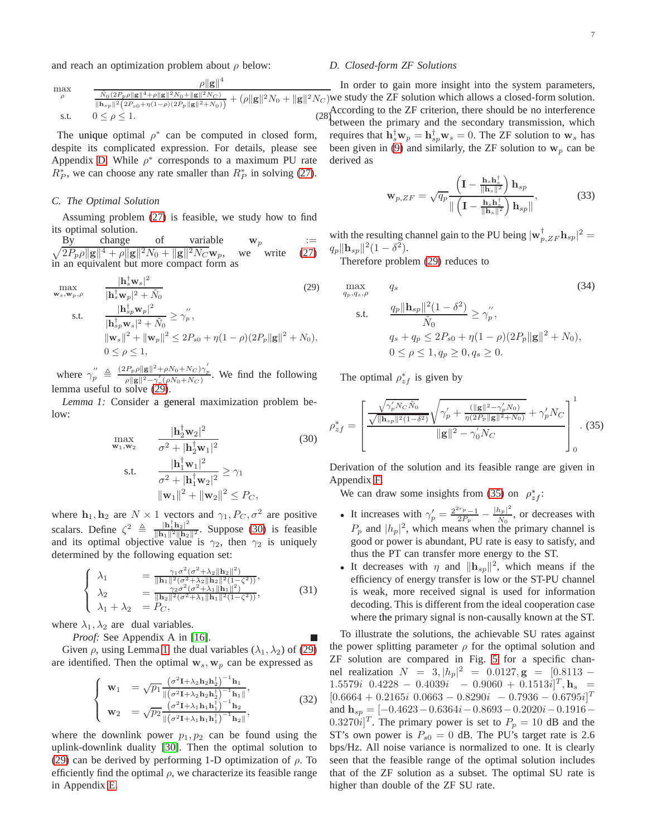and reach an optimization problem about  $\rho$  below:

<span id="page-6-4"></span>max 
$$
\frac{\rho ||\mathbf{g}||^4}{\tilde{N}(2R + 1)^{1/4} + 1)^{1/2}N + 1 \cdot 1^{1/2}N}
$$

$$
\sum_{\rho} \frac{\tilde{N}_0(2P_p \rho ||\mathbf{g}||^4 + \rho ||\mathbf{g}||^2 N_0 + \|\mathbf{g}\|^2 N_C)}{||\mathbf{h}_{sp}||^2 (2P_{s0} + \eta (1 - \rho)(2P_p ||\mathbf{g}||^2 + N_0))} + (\rho ||\mathbf{g}||^2 N_0 + ||\mathbf{g}||^2 N_C)
$$
\ns.t. 
$$
0 \le \rho \le 1.
$$
\n(28)

The unique optimal  $\rho^*$  can be computed in closed form, despite its complicated expression. For details, please see Appendix [D.](#page-10-3) While  $\rho^*$  corresponds to a maximum PU rate  $R_P^*$ , we can choose any rate smaller than  $R_P^*$  in solving [\(27\)](#page-5-1).

#### *C. The Optimal Solution*

Assuming problem [\(27\)](#page-5-1) is feasible, we study how to find its optimal solution.<br>By change

 $\sqrt{}$ By change of variable  $w_p$  :=  $2P_p \rho ||\mathbf{g}||^4 + \rho ||\mathbf{g}||^2 N_0 + ||\mathbf{g}||^2 N_C \mathbf{w}_p$ , we write [\(27\)](#page-5-1) in an equivalent but more compact form as

<span id="page-6-0"></span>
$$
\max_{\mathbf{w}_s, \mathbf{w}_p, \rho} \qquad \frac{|\mathbf{h}_s^{\dagger} \mathbf{w}_s|^2}{|\mathbf{h}_s^{\dagger} \mathbf{w}_p|^2 + \tilde{N}_0} \tag{29}
$$
\ns.t. 
$$
\frac{|\mathbf{h}_{sp}^{\dagger} \mathbf{w}_p|^2}{|\mathbf{h}_{sp}^{\dagger} \mathbf{w}_s|^2 + \tilde{N}_0} \ge \gamma_p'',
$$
\n
$$
\|\mathbf{w}_s\|^2 + \|\mathbf{w}_p\|^2 \le 2P_{s0} + \eta(1 - \rho)(2P_p \|\mathbf{g}\|^2 + N_0),
$$
\n
$$
0 \le \rho \le 1,
$$

where  $\gamma_p'' \triangleq \frac{(2P_p \rho ||\mathbf{g}||^2 + \rho N_0 + N_C)\gamma_p'}{\rho ||\mathbf{g}||^2 - \gamma_p'(\rho N_0 + N_C)}$ . We find the following lemma useful to solve  $(29)$ .

<span id="page-6-2"></span>*Lemma 1:* Consider a general maximization problem below:

<span id="page-6-1"></span>
$$
\max_{\mathbf{w}_1, \mathbf{w}_2} \qquad \frac{|\mathbf{h}_2^{\dagger} \mathbf{w}_2|^2}{\sigma^2 + |\mathbf{h}_2^{\dagger} \mathbf{w}_1|^2} \tag{30}
$$
\n
$$
\text{s.t.} \qquad \frac{|\mathbf{h}_1^{\dagger} \mathbf{w}_1|^2}{\sigma^2 + |\mathbf{h}_1^{\dagger} \mathbf{w}_2|^2} \ge \gamma_1
$$
\n
$$
||\mathbf{w}_1||^2 + ||\mathbf{w}_2||^2 \le P_C,
$$

where  $\mathbf{h}_1, \mathbf{h}_2$  are  $N \times 1$  vectors and  $\gamma_1, P_C, \sigma^2$  are positive scalars. Define  $\zeta^2 \triangleq \frac{|\mathbf{h}_1^{\dagger} \mathbf{h}_2|^2}{\|\mathbf{h}_1\|^2 \|\mathbf{h}_2\|^2}$ . Suppose [\(30\)](#page-6-1) is feasible and its optimal objective value is  $\gamma_2$ , then  $\gamma_2$  is uniquely determined by the following equation set:

$$
\begin{cases}\n\lambda_1 = \frac{\gamma_1 \sigma^2 (\sigma^2 + \lambda_2 ||\mathbf{h}_2||^2)}{||\mathbf{h}_1||^2 (\sigma^2 + \lambda_2 ||\mathbf{h}_2||^2 (1 - \zeta^2))},\\ \n\lambda_2 = \frac{\gamma_2 \sigma^2 (\sigma^2 + \lambda_1 ||\mathbf{h}_1||^2)}{||\mathbf{h}_2||^2 (\sigma^2 + \lambda_1 ||\mathbf{h}_1||^2 (1 - \zeta^2))},\\ \n\lambda_1 + \lambda_2 = P_C,\n\end{cases} (31)
$$

where  $\lambda_1, \lambda_2$  are dual variables.

*Proof:* See Appendix A in [\[16\]](#page-12-3).

Given  $\rho$ , using Lemma [1,](#page-6-2) the dual variables  $(\lambda_1, \lambda_2)$  of [\(29\)](#page-6-0) are identified. Then the optimal  $w_s$ ,  $w_p$  can be expressed as

$$
\begin{cases}\n\mathbf{w}_{1} = \sqrt{p_{1}} \frac{(\sigma^{2} \mathbf{I} + \lambda_{2} \mathbf{h}_{2} \mathbf{h}_{2}^{\dagger})^{-1} \mathbf{h}_{1}}{\|(\sigma^{2} \mathbf{I} + \lambda_{2} \mathbf{h}_{2} \mathbf{h}_{2}^{\dagger})^{-1} \mathbf{h}_{1}\|},\\ \n\mathbf{w}_{2} = \sqrt{p_{2}} \frac{(\sigma^{2} \mathbf{I} + \lambda_{1} \mathbf{h}_{1} \mathbf{h}_{1}^{\dagger})^{-1} \mathbf{h}_{2}}{\|(\sigma^{2} \mathbf{I} + \lambda_{1} \mathbf{h}_{1} \mathbf{h}_{1}^{\dagger})^{-1} \mathbf{h}_{2}\|},\n\end{cases} (32)
$$

where the downlink power  $p_1, p_2$  can be found using the uplink-downlink duality [\[30\]](#page-12-15). Then the optimal solution to [\(29\)](#page-6-0) can be derived by performing 1-D optimization of  $\rho$ . To efficiently find the optimal  $\rho$ , we characterize its feasible range in Appendix [E.](#page-11-10)

#### *D. Closed-form ZF Solutions*

 $(2N<sub>C</sub>)$  we study the ZF solution which allows a closed-form solution. In order to gain more insight into the system parameters,

According to the ZF criterion, there should be no interference between the primary and the secondary transmission, which requires that  $h_s^{\dagger} w_p = h_{sp}^{\dagger} w_s = 0$ . The ZF solution to  $w_s$  has been given in [\(9\)](#page-3-4) and similarly, the ZF solution to  $w_p$  can be derived as

$$
\mathbf{w}_{p,ZF} = \sqrt{q_p} \frac{\left(\mathbf{I} - \frac{\mathbf{h}_s \mathbf{h}_s^\dagger}{\|\mathbf{h}_s\|^2}\right) \mathbf{h}_{sp}}{\|\left(\mathbf{I} - \frac{\mathbf{h}_s \mathbf{h}_s^\dagger}{\|\mathbf{h}_s\|^2}\right) \mathbf{h}_{sp}\|},\tag{33}
$$

with the resulting channel gain to the PU being  $|\mathbf{w}_{p,ZF}^{\dagger} \mathbf{h}_{sp}|^2 =$  $q_p \|\mathbf{h}_{sp}\|^2 (1-\delta^2).$ 

Therefore problem [\(29\)](#page-6-0) reduces to

<span id="page-6-5"></span>
$$
\max_{q_p, q_s, \rho} \qquad q_s \qquad (34)
$$
\ns.t.

\n
$$
\frac{q_p \|\mathbf{h}_{sp}\|^2 (1 - \delta^2)}{\tilde{N}_0} \geq \gamma_p'',
$$
\n
$$
q_s + q_p \leq 2P_{s0} + \eta (1 - \rho) (2P_p \|\mathbf{g}\|^2 + N_0),
$$
\n
$$
0 \leq \rho \leq 1, q_p \geq 0, q_s \geq 0.
$$
\n(34)

The optimal  $\rho_{zf}^{*}$  is given by

<span id="page-6-3"></span>ρ

$$
\rho_{zf}^{*} = \left[ \frac{\frac{\sqrt{\gamma_{p}' N_{C} \tilde{N}_{0}}}{\sqrt{\|\mathbf{h}_{sp}\|^{2} (1-\delta^{2})}} \sqrt{\gamma_{p}'} + \frac{(\|\mathbf{g}\|^{2} - \gamma_{p}' N_{0})}{\eta (2P_{p} \|\mathbf{g}\|^{2} + N_{0})} + \gamma_{p}' N_{C}}{\|\mathbf{g}\|^{2} - \gamma_{0}' N_{C}} \right]_{0}^{1}.
$$
(35)

Derivation of the solution and its feasible range are given in Appendix [F.](#page-11-11)

We can draw some insights from [\(35\)](#page-6-3) on  $\rho_{zf}^*$ :

- It increases with  $\gamma'_p = \frac{2^{2r_p}-1}{2P_p} \frac{|h_p|^2}{\tilde{N}_0}$  $\frac{n_p}{\tilde{N}_0}$ , or decreases with  $P_p$  and  $|h_p|^2$ , which means when the primary channel is good or power is abundant, PU rate is easy to satisfy, and thus the PT can transfer more energy to the ST.
- It decreases with  $\eta$  and  $\|\mathbf{h}_{sp}\|^2$ , which means if the efficiency of energy transfer is low or the ST-PU channel is weak, more received signal is used for information decoding. This is different from the ideal cooperation case where the primary signal is non-causally known at the ST.

To illustrate the solutions, the achievable SU rates against the power splitting parameter  $\rho$  for the optimal solution and ZF solution are compared in Fig. [5](#page-7-0) for a specific channel realization  $N = 3$ ,  $|h_p|^2 = 0.0127$ ,  $\mathbf{g} = \begin{bmatrix} 0.8113 \\ \frac{3}{2} \end{bmatrix}$  $1.5579i$  0.4228 - 0.4039 $i$  - 0.9060 + 0.1513 $i$ ]<sup>T</sup>,  $\mathbf{h}_s$  =  $[0.6664 + 0.2165i \, 0.0663 - 0.8290i \, -0.7936 - 0.6795i]^T$ and  $h_{sp} = [-0.4623 - 0.6364i - 0.8693 - 0.2020i - 0.1916 (0.3270i)^T$ . The primary power is set to  $P_p = 10$  dB and the ST's own power is  $P_{s0} = 0$  dB. The PU's target rate is 2.6 bps/Hz. All noise variance is normalized to one. It is clearly seen that the feasible range of the optimal solution includes that of the ZF solution as a subset. The optimal SU rate is higher than double of the ZF SU rate.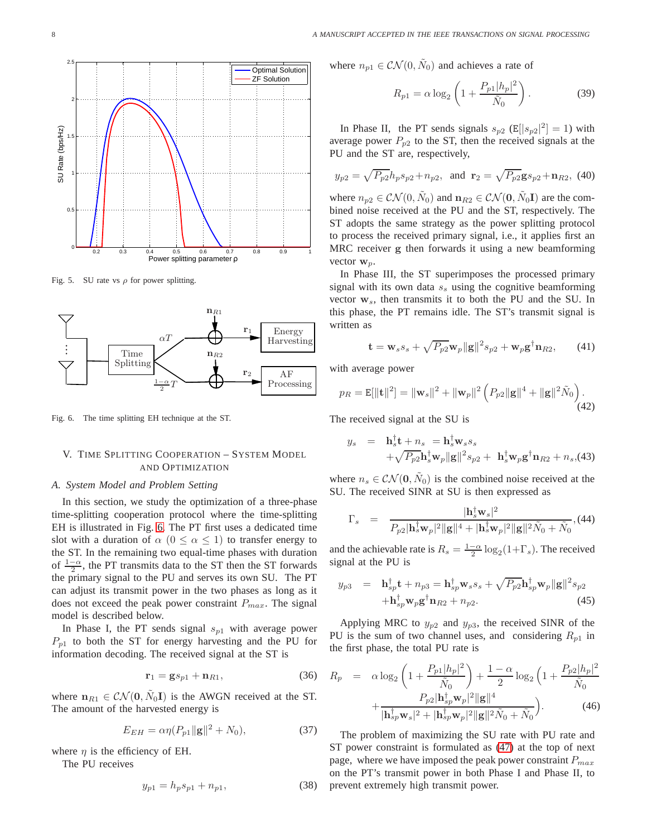

<span id="page-7-0"></span>Fig. 5. SU rate vs  $\rho$  for power splitting.



<span id="page-7-1"></span>Fig. 6. The time splitting EH technique at the ST.

# V. TIME SPLITTING COOPERATION – SYSTEM MODEL AND OPTIMIZATION

#### *A. System Model and Problem Setting*

In this section, we study the optimization of a three-phase time-splitting cooperation protocol where the time-splitting EH is illustrated in Fig. [6.](#page-7-1) The PT first uses a dedicated time slot with a duration of  $\alpha$  ( $0 \leq \alpha \leq 1$ ) to transfer energy to the ST. In the remaining two equal-time phases with duration of  $\frac{1-\alpha}{2}$ , the PT transmits data to the ST then the ST forwards the primary signal to the PU and serves its own SU. The PT can adjust its transmit power in the two phases as long as it does not exceed the peak power constraint  $P_{max}$ . The signal model is described below.

In Phase I, the PT sends signal  $s_{p1}$  with average power  $P_{p1}$  to both the ST for energy harvesting and the PU for information decoding. The received signal at the ST is

$$
\mathbf{r}_1 = \mathbf{g} s_{p1} + \mathbf{n}_{R1},\tag{36}
$$

where  $n_{R1} \in \mathcal{CN}(\mathbf{0}, \tilde{N}_0 \mathbf{I})$  is the AWGN received at the ST. The amount of the harvested energy is

$$
E_{EH} = \alpha \eta (P_{p1} ||\mathbf{g}||^2 + N_0), \tag{37}
$$

where  $\eta$  is the efficiency of EH.

The PU receives

$$
y_{p1} = h_p s_{p1} + n_{p1}, \t\t(38)
$$

where  $n_{p1} \in \mathcal{CN}(0, \tilde{N}_0)$  and achieves a rate of

$$
R_{p1} = \alpha \log_2 \left( 1 + \frac{P_{p1} |h_p|^2}{\tilde{N}_0} \right). \tag{39}
$$

In Phase II, the PT sends signals  $s_{p2}$  (E[ $|s_{p2}|^2$ ] = 1) with average power  $P_{p2}$  to the ST, then the received signals at the PU and the ST are, respectively,

$$
y_{p2} = \sqrt{P_{p2}} h_p s_{p2} + n_{p2}
$$
, and  $\mathbf{r}_2 = \sqrt{P_{p2}} \mathbf{g} s_{p2} + \mathbf{n}_{R2}$ , (40)

where  $n_{p2} \in \mathcal{CN}(0, \tilde{N}_0)$  and  $\mathbf{n}_{R2} \in \mathcal{CN}(\mathbf{0}, \tilde{N}_0\mathbf{I})$  are the combined noise received at the PU and the ST, respectively. The ST adopts the same strategy as the power splitting protocol to process the received primary signal, i.e., it applies first an MRC receiver g then forwards it using a new beamforming vector  $\mathbf{w}_p$ .

In Phase III, the ST superimposes the processed primary signal with its own data  $s<sub>s</sub>$  using the cognitive beamforming vector  $w_s$ , then transmits it to both the PU and the SU. In this phase, the PT remains idle. The ST's transmit signal is written as

$$
\mathbf{t} = \mathbf{w}_s s_s + \sqrt{P_{p2}} \mathbf{w}_p ||\mathbf{g}||^2 s_{p2} + \mathbf{w}_p \mathbf{g}^\dagger \mathbf{n}_{R2}, \qquad (41)
$$

with average power

$$
p_R = \mathbf{E}[\|\mathbf{t}\|^2] = \|\mathbf{w}_s\|^2 + \|\mathbf{w}_p\|^2 \left(P_{p2} \|\mathbf{g}\|^4 + \|\mathbf{g}\|^2 \tilde{N}_0\right).
$$
\n(42)

The received signal at the SU is

$$
y_s = \mathbf{h}_s^{\dagger} \mathbf{t} + n_s = \mathbf{h}_s^{\dagger} \mathbf{w}_s s_s
$$
  
+  $\sqrt{P_{p2}} \mathbf{h}_s^{\dagger} \mathbf{w}_p ||\mathbf{g}||^2 s_{p2} + \mathbf{h}_s^{\dagger} \mathbf{w}_p \mathbf{g}^{\dagger} \mathbf{n}_{R2} + n_s$ , (43)

where  $n_s \in \mathcal{CN}(\mathbf{0}, \tilde{N}_0)$  is the combined noise received at the SU. The received SINR at SU is then expressed as

$$
\Gamma_s = \frac{|\mathbf{h}_s^{\dagger} \mathbf{w}_s|^2}{P_{p2} |\mathbf{h}_s^{\dagger} \mathbf{w}_p|^2 ||\mathbf{g}||^4 + |\mathbf{h}_s^{\dagger} \mathbf{w}_p|^2 ||\mathbf{g}||^2 \tilde{N}_0 + \tilde{N}_0}, \text{(44)}
$$

and the achievable rate is  $R_s = \frac{1-\alpha}{2} \log_2(1+\Gamma_s)$ . The received signal at the PU is

$$
y_{p3} = \mathbf{h}_{sp}^{\dagger} \mathbf{t} + n_{p3} = \mathbf{h}_{sp}^{\dagger} \mathbf{w}_{s} s_{s} + \sqrt{P_{p2}} \mathbf{h}_{sp}^{\dagger} \mathbf{w}_{p} ||\mathbf{g}||^{2} s_{p2} + \mathbf{h}_{sp}^{\dagger} \mathbf{w}_{p} \mathbf{g}^{\dagger} \mathbf{n}_{R2} + n_{p2}.
$$
 (45)

Applying MRC to  $y_{p2}$  and  $y_{p3}$ , the received SINR of the PU is the sum of two channel uses, and considering  $R_{p1}$  in the first phase, the total PU rate is

$$
R_p = \alpha \log_2 \left( 1 + \frac{P_{p1} |h_p|^2}{\tilde{N}_0} \right) + \frac{1 - \alpha}{2} \log_2 \left( 1 + \frac{P_{p2} |h_p|^2}{\tilde{N}_0} + \frac{P_{p2} |\mathbf{h}_{sp}^{\dagger} \mathbf{w}_p|^2 ||\mathbf{g}||^4}{|\mathbf{h}_{sp}^{\dagger} \mathbf{w}_s|^2 + |\mathbf{h}_{sp}^{\dagger} \mathbf{w}_p|^2 ||\mathbf{g}||^2 \tilde{N}_0 + \tilde{N}_0} \right). \tag{46}
$$

The problem of maximizing the SU rate with PU rate and ST power constraint is formulated as [\(47\)](#page-8-0) at the top of next page, where we have imposed the peak power constraint  $P_{max}$ on the PT's transmit power in both Phase I and Phase II, to prevent extremely high transmit power.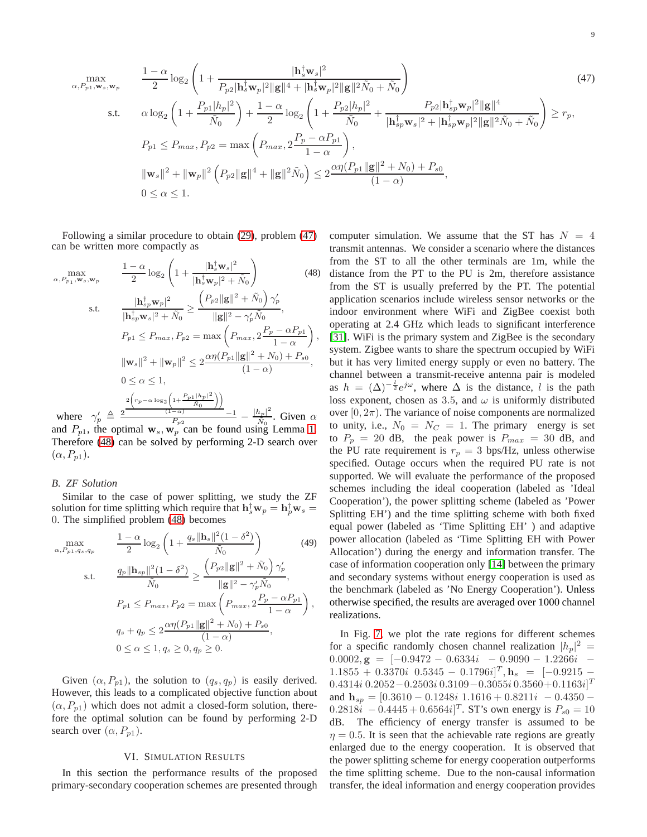<span id="page-8-0"></span>
$$
\max_{\alpha, P_{p1}, \mathbf{w}_s, \mathbf{w}_p} \qquad \frac{1-\alpha}{2} \log_2 \left( 1 + \frac{|\mathbf{h}_s^{\dagger} \mathbf{w}_p|^2 ||\mathbf{g}||^4 + |\mathbf{h}_s^{\dagger} \mathbf{w}_p|^2 ||\mathbf{g}||^2 \tilde{N}_0 + \tilde{N}_0} \right) \tag{47}
$$
\n
$$
\text{s.t.} \qquad \alpha \log_2 \left( 1 + \frac{P_{p1} |h_p|^2}{\tilde{N}_0} \right) + \frac{1-\alpha}{2} \log_2 \left( 1 + \frac{P_{p2} |h_p|^2}{\tilde{N}_0} + \frac{P_{p2} |\mathbf{h}_{sp}^{\dagger} \mathbf{w}_p|^2 ||\mathbf{g}||^4}{|\mathbf{h}_{sp}^{\dagger} \mathbf{w}_s|^2 + |\mathbf{h}_{sp}^{\dagger} \mathbf{w}_p|^2 ||\mathbf{g}||^2 \tilde{N}_0 + \tilde{N}_0} \right) \ge r_p,
$$
\n
$$
P_{p1} \le P_{max}, P_{p2} = \max \left( P_{max}, 2\frac{P_p - \alpha P_{p1}}{1 - \alpha} \right),
$$
\n
$$
||\mathbf{w}_s||^2 + ||\mathbf{w}_p||^2 \left( P_{p2} ||\mathbf{g}||^4 + ||\mathbf{g}||^2 \tilde{N}_0 \right) \le 2 \frac{\alpha \eta (P_{p1} ||\mathbf{g}||^2 + N_0) + P_{s0}}{(1 - \alpha)},
$$
\n
$$
0 \le \alpha \le 1.
$$
\n
$$
(1 - \alpha)
$$

Following a similar procedure to obtain [\(29\)](#page-6-0), problem [\(47\)](#page-8-0) can be written more compactly as

<span id="page-8-1"></span>
$$
\max_{\alpha, P_{p_1}, \mathbf{w}_s, \mathbf{w}_p} \qquad \frac{1-\alpha}{2} \log_2 \left( 1 + \frac{|\mathbf{h}_s^{\dagger} \mathbf{w}_s|^2}{|\mathbf{h}_s^{\dagger} \mathbf{w}_p|^2 + \tilde{N}_0} \right) \tag{48}
$$
\n
$$
\text{s.t.} \qquad \frac{|\mathbf{h}_{sp}^{\dagger} \mathbf{w}_p|^2}{|\mathbf{h}_{sp}^{\dagger} \mathbf{w}_s|^2 + \tilde{N}_0} \ge \frac{\left( P_{p2} ||\mathbf{g}||^2 + \tilde{N}_0 \right) \gamma_p'}{||\mathbf{g}||^2 - \gamma_p' \tilde{N}_0},
$$
\n
$$
P_{p1} \le P_{max}, P_{p2} = \max \left( P_{max}, 2\frac{P_p - \alpha P_{p1}}{1 - \alpha} \right),
$$
\n
$$
||\mathbf{w}_s||^2 + ||\mathbf{w}_p||^2 \le 2\frac{\alpha \eta (P_{p1} ||\mathbf{g}||^2 + N_0) + P_{s0}}{(1 - \alpha)},
$$
\n
$$
0 \le \alpha \le 1,
$$
\n
$$
\text{where } \gamma_p' \triangleq \frac{\frac{2 \left( r_p - \alpha \log_2 \left( 1 + \frac{P_{p1} |h_p|^2}{\tilde{N}_0} \right) \right)}{P_{p2}} - \frac{1}{\tilde{N}_0} \cdot \text{Given } \alpha \text{
$$

where  $\gamma_p = \frac{P_{p2}}{P_{p2}} \rightarrow -\frac{P_{N_0}}{N_0}$ . Given  $\alpha$  and  $P_{p1}$ , the optimal  $\mathbf{w}_s, \mathbf{w}_p$  can be found using Lemma [1.](#page-6-2) Therefore [\(48\)](#page-8-1) can be solved by performing 2-D search over  $(\alpha, P_{p1}).$ 

# *B. ZF Solution*

Similar to the case of power splitting, we study the ZF solution for time splitting which require that  $h_s^{\dagger} w_p = h_p^{\dagger} w_s =$ 0. The simplified problem [\(48\)](#page-8-1) becomes

$$
\max_{\alpha, P_{p1}, q_s, q_p} \qquad \frac{1-\alpha}{2} \log_2 \left( 1 + \frac{q_s \|\mathbf{h}_s\|^2 (1-\delta^2)}{\tilde{N}_0} \right) \tag{49}
$$

s.t. 
$$
\frac{q_p ||\mathbf{h}_{sp}||^2 (1 - \delta^2)}{\tilde{N}_0} \ge \frac{\left(P_{p2} ||\mathbf{g}||^2 + \tilde{N}_0\right) \gamma'_p}{||\mathbf{g}||^2 - \gamma'_p \tilde{N}_0},
$$

$$
P_{p1} \le P_{max}, P_{p2} = \max\left(P_{max}, 2\frac{P_p - \alpha P_{p1}}{1 - \alpha}\right),
$$

$$
q_s + q_p \le 2\frac{\alpha \eta (P_{p1} ||\mathbf{g}||^2 + N_0) + P_{s0}}{(1 - \alpha)},
$$

$$
0 \le \alpha \le 1, q_s \ge 0, q_p \ge 0.
$$

Given  $(\alpha, P_{p1})$ , the solution to  $(q_s, q_p)$  is easily derived. However, this leads to a complicated objective function about  $(\alpha, P_{n1})$  which does not admit a closed-form solution, therefore the optimal solution can be found by performing 2-D search over  $(\alpha, P_{p1})$ .

#### VI. SIMULATION RESULTS

In this section the performance results of the proposed primary-secondary cooperation schemes are presented through computer simulation. We assume that the ST has  $N = 4$ transmit antennas. We consider a scenario where the distances from the ST to all the other terminals are 1m, while the distance from the PT to the PU is 2m, therefore assistance from the ST is usually preferred by the PT. The potential application scenarios include wireless sensor networks or the indoor environment where WiFi and ZigBee coexist both operating at 2.4 GHz which leads to significant interference [\[31\]](#page-12-16). WiFi is the primary system and ZigBee is the secondary system. Zigbee wants to share the spectrum occupied by WiFi but it has very limited energy supply or even no battery. The channel between a transmit-receive antenna pair is modeled as  $h = (\Delta)^{-\frac{1}{2}} e^{j\omega}$ , where  $\Delta$  is the distance, l is the path loss exponent, chosen as 3.5, and  $\omega$  is uniformly distributed over  $[0, 2\pi)$ . The variance of noise components are normalized to unity, i.e.,  $N_0 = N_C = 1$ . The primary energy is set to  $P_p = 20$  dB, the peak power is  $P_{max} = 30$  dB, and the PU rate requirement is  $r_p = 3$  bps/Hz, unless otherwise specified. Outage occurs when the required PU rate is not supported. We will evaluate the performance of the proposed schemes including the ideal cooperation (labeled as 'Ideal Cooperation'), the power splitting scheme (labeled as 'Power Splitting EH') and the time splitting scheme with both fixed equal power (labeled as 'Time Splitting EH' ) and adaptive power allocation (labeled as 'Time Splitting EH with Power Allocation') during the energy and information transfer. The case of information cooperation only [\[14\]](#page-12-2) between the primary and secondary systems without energy cooperation is used as the benchmark (labeled as 'No Energy Cooperation'). Unless otherwise specified, the results are averaged over 1000 channel realizations.

In Fig. [7,](#page-9-0) we plot the rate regions for different schemes for a specific randomly chosen channel realization  $|h_p|^2 =$  $0.0002$ ,  $g = [-0.9472 - 0.6334i - 0.9090 - 1.2266i 1.1855 + 0.3370i$   $0.5345 - 0.1796i$ <sup>T</sup>,  $\mathbf{h}_s = [-0.9215 0.4314i\ 0.2052 - 0.2503i\ 0.3109 - 0.3055i\ 0.3560 + 0.1163i]^T$ and  $h_{sp} = [0.3610 - 0.1248i 1.1616 + 0.8211i - 0.4350 0.2818i - 0.4445 + 0.6564i$ <sup>T</sup>. ST's own energy is  $P_{s0} = 10$ dB. The efficiency of energy transfer is assumed to be  $\eta = 0.5$ . It is seen that the achievable rate regions are greatly enlarged due to the energy cooperation. It is observed that the power splitting scheme for energy cooperation outperforms the time splitting scheme. Due to the non-causal information transfer, the ideal information and energy cooperation provides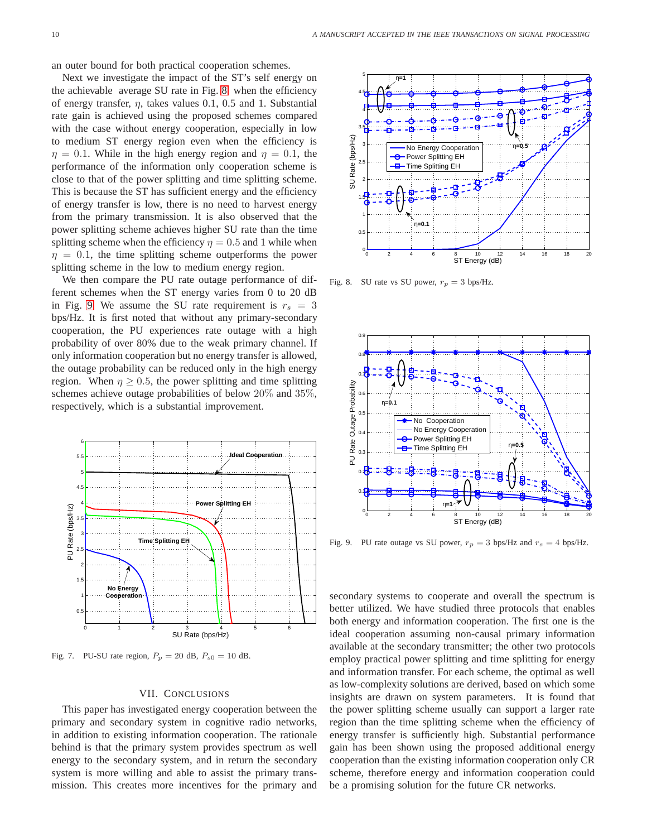an outer bound for both practical cooperation schemes.

Next we investigate the impact of the ST's self energy on the achievable average SU rate in Fig. [8](#page-9-1) when the efficiency of energy transfer,  $\eta$ , takes values 0.1, 0.5 and 1. Substantial rate gain is achieved using the proposed schemes compared with the case without energy cooperation, especially in low to medium ST energy region even when the efficiency is  $\eta = 0.1$ . While in the high energy region and  $\eta = 0.1$ , the performance of the information only cooperation scheme is close to that of the power splitting and time splitting scheme. This is because the ST has sufficient energy and the efficiency of energy transfer is low, there is no need to harvest energy from the primary transmission. It is also observed that the power splitting scheme achieves higher SU rate than the time splitting scheme when the efficiency  $\eta = 0.5$  and 1 while when  $\eta = 0.1$ , the time splitting scheme outperforms the power splitting scheme in the low to medium energy region.

We then compare the PU rate outage performance of different schemes when the ST energy varies from 0 to 20 dB in Fig. [9.](#page-9-2) We assume the SU rate requirement is  $r_s = 3$ bps/Hz. It is first noted that without any primary-secondary cooperation, the PU experiences rate outage with a high probability of over 80% due to the weak primary channel. If only information cooperation but no energy transfer is allowed, the outage probability can be reduced only in the high energy region. When  $\eta \geq 0.5$ , the power splitting and time splitting schemes achieve outage probabilities of below 20% and 35%, respectively, which is a substantial improvement.



<span id="page-9-0"></span>Fig. 7. PU-SU rate region,  $P_p = 20$  dB,  $P_{s0} = 10$  dB.

#### VII. CONCLUSIONS

This paper has investigated energy cooperation between the primary and secondary system in cognitive radio networks, in addition to existing information cooperation. The rationale behind is that the primary system provides spectrum as well energy to the secondary system, and in return the secondary system is more willing and able to assist the primary transmission. This creates more incentives for the primary and



<span id="page-9-1"></span>Fig. 8. SU rate vs SU power,  $r_p = 3$  bps/Hz.



<span id="page-9-2"></span>Fig. 9. PU rate outage vs SU power,  $r_p = 3$  bps/Hz and  $r_s = 4$  bps/Hz.

secondary systems to cooperate and overall the spectrum is better utilized. We have studied three protocols that enables both energy and information cooperation. The first one is the ideal cooperation assuming non-causal primary information available at the secondary transmitter; the other two protocols employ practical power splitting and time splitting for energy and information transfer. For each scheme, the optimal as well as low-complexity solutions are derived, based on which some insights are drawn on system parameters. It is found that the power splitting scheme usually can support a larger rate region than the time splitting scheme when the efficiency of energy transfer is sufficiently high. Substantial performance gain has been shown using the proposed additional energy cooperation than the existing information cooperation only CR scheme, therefore energy and information cooperation could be a promising solution for the future CR networks.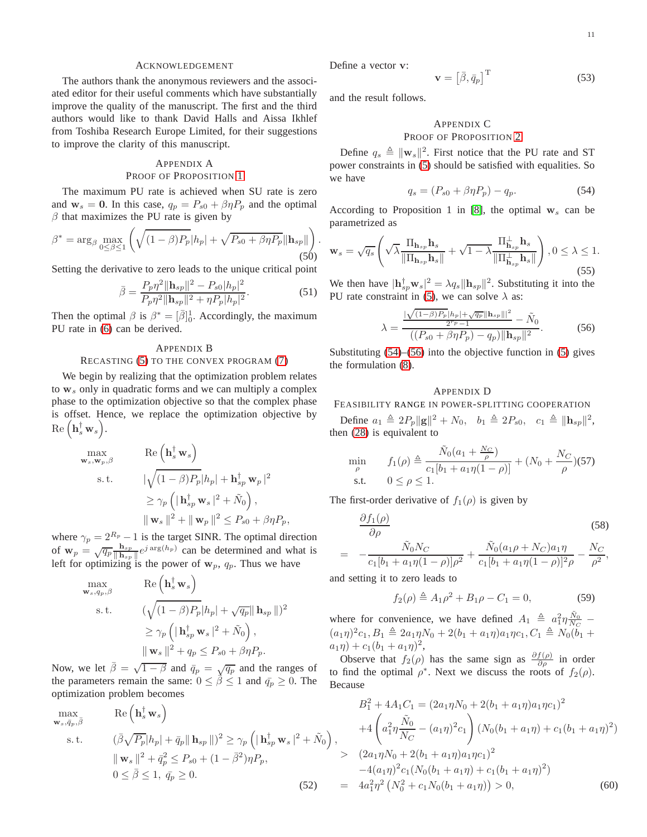#### ACKNOWLEDGEMENT

The authors thank the anonymous reviewers and the associated editor for their useful comments which have substantially improve the quality of the manuscript. The first and the third authors would like to thank David Halls and Aissa Ikhlef from Toshiba Research Europe Limited, for their suggestions to improve the clarity of this manuscript.

# <span id="page-10-0"></span>APPENDIX A PROOF OF PROPOSITION [1](#page-3-5)

The maximum PU rate is achieved when SU rate is zero and  $\mathbf{w}_s = \mathbf{0}$ . In this case,  $q_p = P_{s0} + \beta \eta P_p$  and the optimal  $\beta$  that maximizes the PU rate is given by

$$
\beta^* = \arg_{\beta} \max_{0 \le \beta \le 1} \left( \sqrt{(1-\beta)P_p} |h_p| + \sqrt{P_{s0} + \beta \eta P_p} ||\mathbf{h}_{sp}|| \right)
$$
\n(50)

Setting the derivative to zero leads to the unique critical point

$$
\bar{\beta} = \frac{P_p \eta^2 \|\mathbf{h}_{sp}\|^2 - P_{s0}|h_p|^2}{P_p \eta^2 \|\mathbf{h}_{sp}\|^2 + \eta P_p |h_p|^2}.
$$
\n(51)

Then the optimal  $\beta$  is  $\beta^* = [\overline{\beta}]_0^1$ . Accordingly, the maximum PU rate in [\(6\)](#page-3-6) can be derived.

# <span id="page-10-1"></span>APPENDIX B

# RECASTING [\(5\)](#page-3-0) TO THE CONVEX PROGRAM [\(7\)](#page-3-1)

We begin by realizing that the optimization problem relates to  $w<sub>s</sub>$  only in quadratic forms and we can multiply a complex phase to the optimization objective so that the complex phase is offset. Hence, we replace the optimization objective by  ${\rm Re} \left({\bf h}_s^\dagger \, {\bf w}_s\right)$ .

$$
\begin{aligned}\n\max_{\mathbf{w}_s, \mathbf{w}_p, \beta} & \qquad \text{Re}\left(\mathbf{h}_s^{\dagger} \mathbf{w}_s\right) \\
\text{s.t.} & & |\sqrt{(1-\beta)P_p} |h_p| + \mathbf{h}_{sp}^{\dagger} \mathbf{w}_p|^2 \\
& \geq \gamma_p \left( |\mathbf{h}_{sp}^{\dagger} \mathbf{w}_s|^2 + \tilde{N}_0 \right), \\
& \|\mathbf{w}_s\|^2 + \|\mathbf{w}_p\|^2 \leq P_{s0} + \beta \eta P_p,\n\end{aligned}
$$

where  $\gamma_p = 2^{R_p} - 1$  is the target SINR. The optimal direction of  $\mathbf{w}_p = \sqrt{q_p} \frac{\mathbf{h}_{sp}}{\|\mathbf{h}_{sp}}$  $\frac{\mathbf{h}_{sp}}{\|\mathbf{h}_{sp}\|}e^{j \arg(h_p)}$  can be determined and what is left for optimizing is the power of  $w_p$ ,  $q_p$ . Thus we have

$$
\begin{aligned}\n\max_{\mathbf{w}_s, q_p, \beta} & \qquad \text{Re}\left(\mathbf{h}_s^{\dagger} \mathbf{w}_s\right) \\
\text{s.t.} & \qquad (\sqrt{(1-\beta)P_p}|h_p| + \sqrt{q_p} ||\mathbf{h}_{sp}||)^2 \\
&\geq \gamma_p \left( |\mathbf{h}_{sp}^{\dagger} \mathbf{w}_s|^2 + \tilde{N}_0 \right), \\
& \qquad ||\mathbf{w}_s||^2 + q_p \leq P_{s0} + \beta \eta P_p.\n\end{aligned}
$$

Now, we let  $\bar{\beta} = \sqrt{1-\beta}$  and  $\bar{q}_p = \sqrt{q_p}$  and the ranges of the parameters remain the same:  $0 \le \bar{\beta} \le 1$  and  $\bar{q}_p \ge 0$ . The optimization problem becomes

$$
\begin{aligned}\n\max_{\mathbf{w}_s, \bar{q}_p, \bar{\beta}} & \text{Re}\left(\mathbf{h}_s^\dagger \mathbf{w}_s\right) \\
\text{s.t.} & (\bar{\beta}\sqrt{P_p}|h_p| + \bar{q}_p \|\mathbf{h}_{sp}\|)^2 \ge \gamma_p \left(\|\mathbf{h}_{sp}^\dagger \mathbf{w}_s\|^2 + \tilde{N}_0\right) \\
& \|\mathbf{w}_s\|^2 + \bar{q}_p^2 \le P_{s0} + (1 - \bar{\beta}^2)\eta P_p, \\
& 0 \le \bar{\beta} \le 1, \ \bar{q}_p \ge 0.\n\end{aligned}
$$
\n
$$
(52)
$$

Define a vector v:

.

$$
\mathbf{v} = \left[\bar{\beta}, \bar{q}_p\right]^{\mathrm{T}} \tag{53}
$$

and the result follows.

# <span id="page-10-2"></span>APPENDIX C PROOF OF PROPOSITION [2](#page-3-7)

Define  $q_s \triangleq ||\mathbf{w}_s||^2$ . First notice that the PU rate and ST power constraints in [\(5\)](#page-3-0) should be satisfied with equalities. So we have

<span id="page-10-4"></span>
$$
q_s = (P_{s0} + \beta \eta P_p) - q_p. \tag{54}
$$

According to Proposition 1 in [\[8\]](#page-11-5), the optimal  $w_s$  can be parametrized as

$$
\mathbf{w}_s = \sqrt{q_s} \left( \sqrt{\lambda} \frac{\Pi_{\mathbf{h}_{sp}} \mathbf{h}_s}{\|\Pi_{\mathbf{h}_{sp}} \mathbf{h}_s\|} + \sqrt{1 - \lambda} \frac{\Pi_{\mathbf{h}_{sp}}^{\perp} \mathbf{h}_s}{\|\Pi_{\mathbf{h}_{sp}}^{\perp} \mathbf{h}_s\|} \right), 0 \le \lambda \le 1.
$$
\n(55)

We then have  $|\mathbf{h}_{sp}^{\dagger} \mathbf{w}_{s}|^{2} = \lambda q_{s} ||\mathbf{h}_{sp}||^{2}$ . Substituting it into the PU rate constraint in [\(5\)](#page-3-0), we can solve  $\lambda$  as:

<span id="page-10-5"></span>
$$
\lambda = \frac{\frac{|\sqrt{(1-\beta)P_p}|h_p| + \sqrt{q_p}||\mathbf{h}_{sp}|||^2}{2^{r_p} - 1} - \tilde{N}_0}{((P_{s0} + \beta \eta P_p) - q_p)||\mathbf{h}_{sp}||^2}.
$$
 (56)

Substituting [\(54\)](#page-10-4)–[\(56\)](#page-10-5) into the objective function in [\(5\)](#page-3-0) gives the formulation [\(8\)](#page-4-0).

# <span id="page-10-3"></span>APPENDIX D

FEASIBILITY RANGE IN POWER-SPLITTING COOPERATION

Define  $a_1 \triangleq 2P_p ||g||^2 + N_0$ ,  $b_1 \triangleq 2P_{s0}$ ,  $c_1 \triangleq ||\mathbf{h}_{sp}||^2$ , then [\(28\)](#page-6-4) is equivalent to

$$
\min_{\rho} \qquad f_1(\rho) \triangleq \frac{\tilde{N}_0(a_1 + \frac{N_C}{\rho})}{c_1[b_1 + a_1\eta(1 - \rho)]} + (N_0 + \frac{N_C}{\rho})(57)
$$
\ns.t.

\n
$$
0 \leq \rho \leq 1.
$$

The first-order derivative of  $f_1(\rho)$  is given by

$$
\frac{\partial f_1(\rho)}{\partial \rho} \qquad (58)
$$
\n
$$
= -\frac{\tilde{N}_0 N_C}{c_1 [b_1 + a_1 \eta (1 - \rho)] \rho^2} + \frac{\tilde{N}_0 (a_1 \rho + N_C) a_1 \eta}{c_1 [b_1 + a_1 \eta (1 - \rho)]^2 \rho} - \frac{N_C}{\rho^2},
$$

and setting it to zero leads to

 $\setminus$ ,

$$
f_2(\rho) \triangleq A_1 \rho^2 + B_1 \rho - C_1 = 0, \tag{59}
$$

where for convenience, we have defined  $A_1 \triangleq a_1^2 \eta \frac{\tilde{N}_0}{N_C}$  –  $(a_1\eta)^2 c_1, B_1 \triangleq 2a_1\eta N_0 + 2(b_1 + a_1\eta)a_1\eta c_1, C_1 \triangleq N_0(\breve{b}_1 +$  $a_1\eta$  +  $c_1(b_1 + a_1\eta)^2$ ,

Observe that  $f_2(\rho)$  has the same sign as  $\frac{\partial f(\rho)}{\partial \rho}$  in order to find the optimal  $\rho^*$ . Next we discuss the roots of  $f_2(\rho)$ . Because

$$
B_1^2 + 4A_1C_1 = (2a_1\eta N_0 + 2(b_1 + a_1\eta)a_1\eta c_1)^2
$$
  
+4 $\left(a_1^2\eta \frac{\tilde{N}_0}{N_C} - (a_1\eta)^2 c_1\right) (N_0(b_1 + a_1\eta) + c_1(b_1 + a_1\eta)^2)$   
>  $(2a_1\eta N_0 + 2(b_1 + a_1\eta)a_1\eta c_1)^2$   
-4 $(a_1\eta)^2 c_1 (N_0(b_1 + a_1\eta) + c_1(b_1 + a_1\eta)^2)$   
=  $4a_1^2\eta^2 (N_0^2 + c_1N_0(b_1 + a_1\eta)) > 0,$  (60)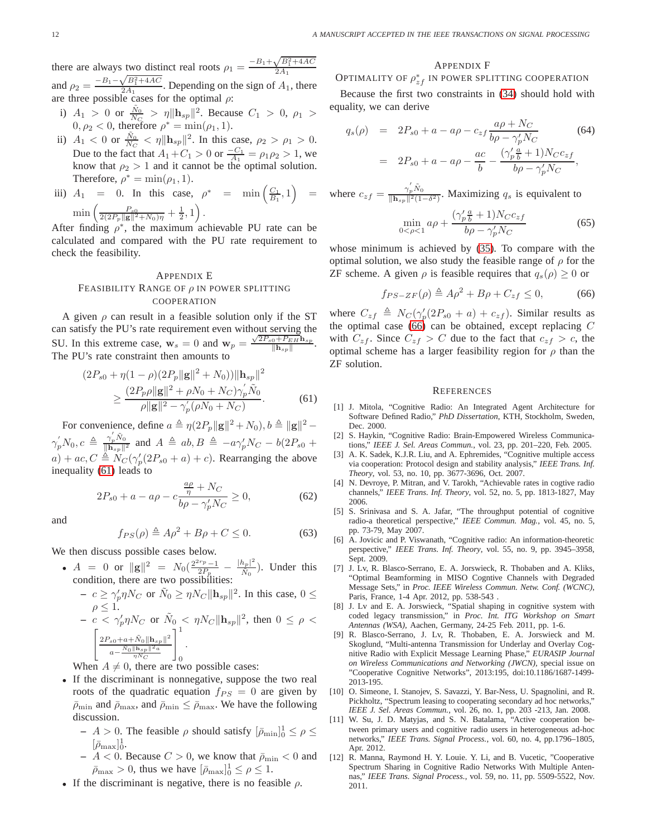there are always two distinct real roots  $\rho_1 = \frac{-B_1 + \sqrt{B_1^2 + 4AC}}{2A_1}$  $2A_1$ and  $\rho_2 = \frac{-B_1 - \sqrt{B_1^2 + 4AC}}{2A_1}$  $\frac{\sqrt{D_1+4AC}}{2A_1}$ . Depending on the sign of  $A_1$ , there

- are three possible cases for the optimal  $\rho$ : i)  $A_1 > 0$  or  $\frac{\tilde{N}_0}{N_C} > \eta \| \mathbf{h}_{sp} \|^2$ . Because  $C_1 > 0$ ,  $\rho_1 >$
- $0, \rho_2 < 0$ , therefore  $\rho^* = \min(\rho_1, 1)$ . ii)  $A_1 < 0$  or  $\frac{\tilde{N}_0}{N_C} < \eta \| \mathbf{h}_{sp} \|^2$ . In this case,  $\rho_2 > \rho_1 > 0$ . Due to the fact that  $A_1 + C_1 > 0$  or  $\frac{-C_1}{A_1} = \rho_1 \rho_2 > 1$ , we know that  $\rho_2 > 1$  and it cannot be the optimal solution. Therefore,  $\rho^* = \min(\rho_1, 1)$ .
- iii)  $A_1 = 0$ . In this case,  $\rho^* = \min\left(\frac{C_1}{B_1}, 1\right) = \text{where } c_{zf} = \frac{\gamma_p' \tilde{N}_0}{\|\mathbf{h}_{sp}\|^2 (1 \epsilon)}$  $\min\left(\frac{P_{s0}}{2(2P_p||\mathbf{g}||^2+N_0)\eta}+\frac{1}{2},1\right).$

After finding  $\rho^*$ , the maximum achievable PU rate can be calculated and compared with the PU rate requirement to check the feasibility.

# <span id="page-11-10"></span>APPENDIX E FEASIBILITY RANGE OF  $\rho$  IN POWER SPLITTING COOPERATION

A given  $\rho$  can result in a feasible solution only if the ST can satisfy the PU's rate requirement even without serving the SU. In this extreme case,  $w_s = 0$  and  $w_p = \frac{\sqrt{2P_{s0} + P_{EH}} h_{sp}}{\|h_{sp}\|}$  $\frac{0+PFHH_{sp}}{\|\mathbf{h}_{sp}\|}$ . The PU's rate constraint then amounts to

<span id="page-11-12"></span>
$$
(2P_{s0} + \eta(1-\rho)(2P_p||\mathbf{g}||^2 + N_0))||\mathbf{h}_{sp}||^2
$$
  
\n
$$
\geq \frac{(2P_p\rho||\mathbf{g}||^2 + \rho N_0 + N_C)\gamma'_p\tilde{N}_0}{\rho||\mathbf{g}||^2 - \gamma'_p(\rho N_0 + N_C)}.
$$
 (61)

For convenience, define  $a \triangleq \eta(2P_p ||g||^2 + N_0), b \triangleq ||g||^2 \gamma'_p N_0, c \triangleq \frac{\gamma'_p \tilde{N}_0}{\|\mathbf{h}_{sp}\|^2}$  and  $A \triangleq ab, B \triangleq -a\gamma'_p N_C - b(2P_{s0} +$  $a) + ac, C \triangleq N_C(\gamma_p'(2P_{s0} + a) + c)$ . Rearranging the above inequality [\(61\)](#page-11-12) leads to

$$
2P_{s0} + a - a\rho - c\frac{\frac{a\rho}{\eta} + N_C}{b\rho - \gamma_p' N_C} \ge 0,
$$
 (62)

and

$$
f_{PS}(\rho) \triangleq A\rho^2 + B\rho + C \le 0. \tag{63}
$$

We then discuss possible cases below.

•  $A = 0$  or  $\|\mathbf{g}\|^2 = N_0(\frac{2^{2r_p}-1}{2P_p} - \frac{|h_p|^2}{\tilde{N}_0})$  $\frac{n_p}{\tilde{N}_0}$ ). Under this condition, there are two possibilities:

- 
$$
c \ge \gamma_p' \eta N_C
$$
 or  $\tilde{N}_0 \ge \eta N_C ||\mathbf{h}_{sp}||^2$ . In this case,  $0 \le \rho \le 1$ .

 $c < \gamma_p' \eta N_C$  or  $\tilde{N}_0 < \eta N_C \|\mathbf{h}_{sp}\|^2$ , then  $0 \le \rho <$  $\frac{2P_{s0}+a+\tilde{N}_0\|\mathbf{h}_{sp}\|^2}{2}$  $a-\frac{\tilde{N}_0 \|\mathbf{h}_{sp}\|^2 a}{\eta N_C}$  $1^1$ 0 .

When  $A \neq 0$ , there are two possible cases:

- If the discriminant is nonnegative, suppose the two real roots of the quadratic equation  $f_{PS} = 0$  are given by  $\bar{\rho}_{\min}$  and  $\bar{\rho}_{\max}$ , and  $\bar{\rho}_{\min} \leq \bar{\rho}_{\max}$ . We have the following discussion.
	- $A > 0$ . The feasible  $\rho$  should satisfy  $[\bar{\rho}_{min}]_0^1 \leq \rho \leq$  $[\bar{\rho}_{\rm max}]_0^1$ .
	- $A < 0$ . Because  $C > 0$ , we know that  $\bar{\rho}_{\min} < 0$  and  $\bar{\rho}_{\text{max}} > 0$ , thus we have  $[\bar{\rho}_{\text{max}}]_0^1 \le \rho \le 1$ .
- If the discriminant is negative, there is no feasible  $\rho$ .

#### <span id="page-11-11"></span>APPENDIX F

# OPTIMALITY OF  $\rho_{zf}^{\ast}$  in power splitting cooperation

Because the first two constraints in [\(34\)](#page-6-5) should hold with equality, we can derive

$$
q_s(\rho) = 2P_{s0} + a - a\rho - c_{zf} \frac{a\rho + N_C}{b\rho - \gamma_p' N_C}
$$
(64)  

$$
= 2P_{s0} + a - a\rho - \frac{ac}{b} - \frac{(\gamma_p' \frac{a}{b} + 1)N_C c_{zf}}{b\rho - \gamma_p' N_C},
$$

 $\frac{r_p N_0}{\|\mathbf{h}_{sp}\|^2 (1-\delta^2)}$ . Maximizing  $q_s$  is equivalent to

$$
\min_{0 < \rho < 1} a\rho + \frac{(\gamma_p' \frac{a}{b} + 1)N_C c_{zf}}{b\rho - \gamma_p' N_C} \tag{65}
$$

whose minimum is achieved by [\(35\)](#page-6-3). To compare with the optimal solution, we also study the feasible range of  $\rho$  for the ZF scheme. A given  $\rho$  is feasible requires that  $q_s(\rho) \geq 0$  or

<span id="page-11-13"></span>
$$
f_{PS-ZF}(\rho) \triangleq A\rho^2 + B\rho + C_{zf} \le 0,
$$
 (66)

where  $C_{zf} \triangleq N_C (\gamma_p'(2P_{s0} + a) + c_{zf})$ . Similar results as the optimal case  $(66)$  can be obtained, except replacing  $C$ with  $C_{z}$ . Since  $C_{z}$  > C due to the fact that  $c_{z}$  > c, the optimal scheme has a larger feasibility region for  $\rho$  than the ZF solution.

#### **REFERENCES**

- <span id="page-11-0"></span>[1] J. Mitola, "Cognitive Radio: An Integrated Agent Architecture for Software Defined Radio," *PhD Dissertation*, KTH, Stockholm, Sweden, Dec. 2000.
- <span id="page-11-1"></span>[2] S. Haykin, "Cognitive Radio: Brain-Empowered Wireless Communications," *IEEE J. Sel. Areas Commun.*, vol. 23, pp. 201–220, Feb. 2005.
- <span id="page-11-2"></span>[3] A. K. Sadek, K.J.R. Liu, and A. Ephremides, "Cognitive multiple access via cooperation: Protocol design and stability analysis," *IEEE Trans. Inf. Theory*, vol. 53, no. 10, pp. 3677-3696, Oct. 2007.
- [4] N. Devroye, P. Mitran, and V. Tarokh, "Achievable rates in cogtive radio channels," *IEEE Trans. Inf. Theory*, vol. 52, no. 5, pp. 1813-1827, May 2006.
- [5] S. Srinivasa and S. A. Jafar, "The throughput potential of cognitive radio-a theoretical perspective," *IEEE Commun. Mag.*, vol. 45, no. 5, pp. 73-79, May 2007.
- <span id="page-11-3"></span>[6] A. Jovicic and P. Viswanath, "Cognitive radio: An information-theoretic perspective," *IEEE Trans. Inf. Theory*, vol. 55, no. 9, pp. 3945–3958, Sept. 2009.
- <span id="page-11-4"></span>[7] J. Lv, R. Blasco-Serrano, E. A. Jorswieck, R. Thobaben and A. Kliks, "Optimal Beamforming in MISO Cogntive Channels with Degraded Message Sets," in *Proc. IEEE Wireless Commun. Netw. Conf. (WCNC)*, Paris, France, 1-4 Apr. 2012, pp. 538-543 .
- <span id="page-11-5"></span>[8] J. Lv and E. A. Jorswieck, "Spatial shaping in cognitive system with coded legacy transmission," in *Proc. Int. ITG Workshop on Smart Antennas (WSA)*, Aachen, Germany, 24-25 Feb. 2011, pp. 1-6.
- <span id="page-11-9"></span>R. Blasco-Serrano, J. Lv, R. Thobaben, E. A. Jorswieck and M. Skoglund, "Multi-antenna Transmission for Underlay and Overlay Cognitive Radio with Explicit Message Learning Phase," *EURASIP Journal on Wireless Communications and Networking (JWCN)*, special issue on "Cooperative Cognitive Networks", 2013:195, doi:10.1186/1687-1499- 2013-195.
- <span id="page-11-6"></span>[10] O. Simeone, I. Stanojev, S. Savazzi, Y. Bar-Ness, U. Spagnolini, and R. Pickholtz, "Spectrum leasing to cooperating secondary ad hoc networks," *IEEE J. Sel. Areas Commun.*, vol. 26, no. 1, pp. 203 -213, Jan. 2008.
- <span id="page-11-7"></span>[11] W. Su, J. D. Matyjas, and S. N. Batalama, "Active cooperation between primary users and cognitive radio users in heterogeneous ad-hoc networks," *IEEE Trans. Signal Process.*, vol. 60, no. 4, pp.1796–1805, Apr. 2012.
- <span id="page-11-8"></span>[12] R. Manna, Raymond H. Y. Louie. Y. Li, and B. Vucetic, "Cooperative Spectrum Sharing in Cognitive Radio Networks With Multiple Antennas," *IEEE Trans. Signal Process.*, vol. 59, no. 11, pp. 5509-5522, Nov. 2011.